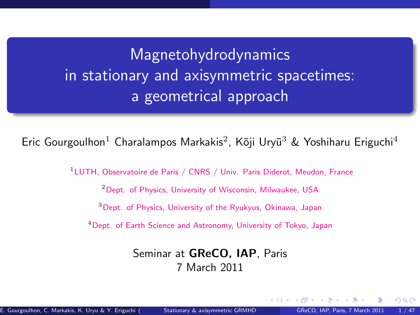<span id="page-0-1"></span>Magnetohydrodynamics in stationary and axisymmetric spacetimes: a geometrical approach

Eric Gourgoulhon<sup>1</sup> Charalampos Markakis<sup>2</sup>, Kōji Uryū<sup>3</sup> & Yoshiharu Eriguchi<sup>4</sup>

<sup>1</sup>LUTH, Observatoire de Paris / CNRS / Univ. Paris Diderot, Meudon, France

<sup>2</sup> Dept. of Physics, University of Wisconsin, Milwaukee, USA

<sup>3</sup>Dept. of Physics, University of the Ryukyus, Okinawa, Japan

<sup>4</sup>Dept. of Earth Science and Astronomy, University of Tokyo, Japan

#### <span id="page-0-0"></span>Seminar at GReCO, IAP, Paris 7 March 2011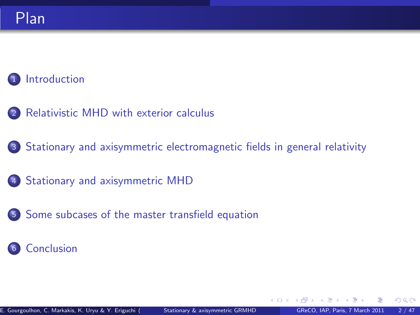### [Introduction](#page-2-0)

- <sup>2</sup> [Relativistic MHD with exterior calculus](#page-7-0)
- <sup>3</sup> [Stationary and axisymmetric electromagnetic fields in general relativity](#page-16-0)
- 4 [Stationary and axisymmetric MHD](#page-30-0)
- <sup>5</sup> [Some subcases of the master transfield equation](#page-52-0)

### <sup>6</sup> [Conclusion](#page-59-0)

 $\Omega$ 

**∢ ロ ▶ 《 何**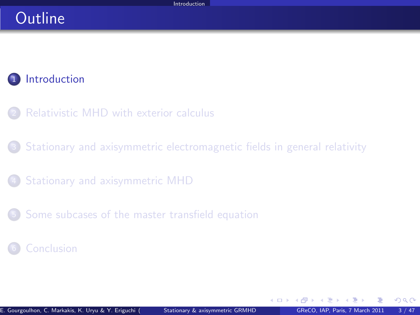### **Outline**

### 1 [Introduction](#page-2-0)

- [Relativistic MHD with exterior calculus](#page-7-0)
- <sup>3</sup> [Stationary and axisymmetric electromagnetic fields in general relativity](#page-16-0)
- <sup>4</sup> [Stationary and axisymmetric MHD](#page-30-0)
- <sup>5</sup> [Some subcases of the master transfield equation](#page-52-0)

#### **[Conclusion](#page-59-0)**

<span id="page-2-0"></span>4 0 8 1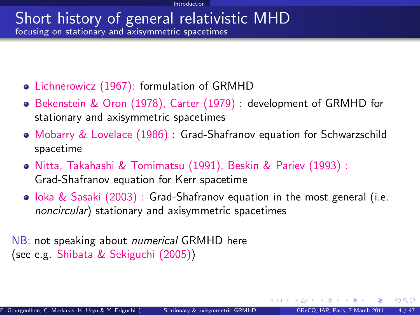#### Short history of general relativistic MHD focusing on stationary and axisymmetric spacetimes

- Lichnerowicz (1967): formulation of GRMHD
- Bekenstein & Oron (1978), Carter (1979) : development of GRMHD for stationary and axisymmetric spacetimes
- Mobarry & Lovelace (1986) : Grad-Shafranov equation for Schwarzschild spacetime
- Nitta, Takahashi & Tomimatsu (1991), Beskin & Pariev (1993) : Grad-Shafranov equation for Kerr spacetime
- $\bullet$  loka & Sasaki (2003) : Grad-Shafranov equation in the most general (i.e. noncircular) stationary and axisymmetric spacetimes

NB: not speaking about *numerical* GRMHD here (see e.g. Shibata & Sekiguchi (2005))

 $\Omega$ 

K □ ▶ K □ ▶ K □ ▶ K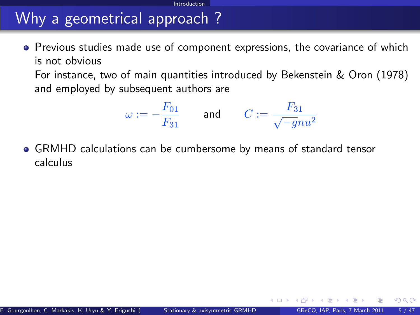# Why a geometrical approach ?

**•** Previous studies made use of component expressions, the covariance of which is not obvious

Introduction

For instance, two of main quantities introduced by Bekenstein & Oron (1978) and employed by subsequent authors are

$$
\omega:=-\frac{F_{01}}{F_{31}}\qquad\text{and}\qquad C:=\frac{F_{31}}{\sqrt{-g}nu^2}
$$

GRMHD calculations can be cumbersome by means of standard tensor calculus

<span id="page-4-0"></span>4 **D** F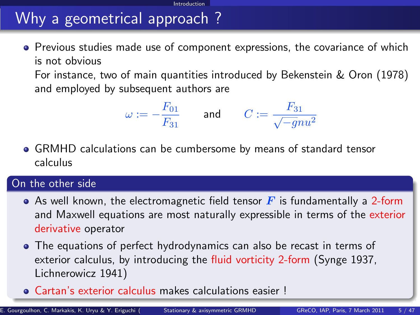# Why a geometrical approach ?

**•** Previous studies made use of component expressions, the covariance of which is not obvious

**Introduction** 

For instance, two of main quantities introduced by Bekenstein & Oron (1978) and employed by subsequent authors are

$$
\omega:=-\frac{F_{01}}{F_{31}}\qquad\text{and}\qquad C:=\frac{F_{31}}{\sqrt{-g}nu^2}
$$

GRMHD calculations can be cumbersome by means of standard tensor calculus

#### On the other side

- As well known, the electromagnetic field tensor  $\mathbf{F}$  is fundamentally a 2-form and Maxwell equations are most naturally expressible in terms of the exterior derivative operator
- The equations of perfect hydrodynamics can also be recast in terms of exterior calculus, by introducing the fluid vorticity 2-form (Synge 1937, Lichnerowicz 1941)
- Cartan's exterior calculus makes calculations eas[ier](#page-4-0) [!](#page-6-0)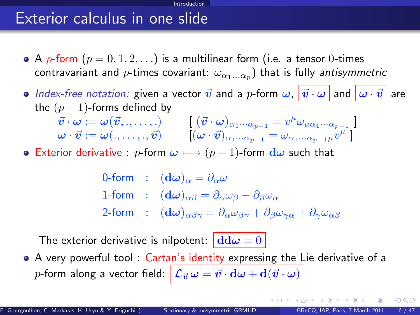### Exterior calculus in one slide

• A p-form  $(p = 0, 1, 2, ...)$  is a multilinear form (i.e. a tensor 0-times contravariant and  $p$ -times covariant:  $\omega_{\alpha_1...\alpha_p})$  that is fully *antisymmetric* 

Introduction

- $\bullet$  Index-free notation: given a vector  $\vec{v}$  and a p-form  $\omega$ ,  $|\vec{v}\cdot\omega|$  and  $|\omega\cdot\vec{v}|$  are the  $(p-1)$ -forms defined by
	- $\vec{v}\cdot\omega:=\omega(\vec{v},.,\dots,.) \qquad \left[ \; (\vec{v}\cdot\omega)_{\alpha_1\cdot\cdot\cdot\alpha_{p-1}} = v^\mu\omega_{\mu\alpha_1\cdot\cdot\cdot\alpha_{p-1}} \; \right]$  $\bm{\omega} \cdot \vec{\bm{v}} := \bm{\omega}(.,\dots,., \vec{\bm{v}}) \qquad \left[ (\bm{\omega} \cdot \vec{\bm{v}})_{\alpha_1 \cdot \cdot \cdot \alpha_{p-1}} = \omega_{\alpha_1 \cdot \cdot \cdot \alpha_{p-1} \mu} \vec{v}^{\mu} \; \right]$
- **•** Exterior derivative : p-form  $\omega \mapsto (p+1)$ -form  $d\omega$  such that

<span id="page-6-0"></span>0-form :  $(\mathbf{d}\omega)_{\alpha} = \partial_{\alpha}\omega$ 1-form :  $(d\omega)_{\alpha\beta} = \partial_{\alpha}\omega_{\beta} - \partial_{\beta}\omega_{\alpha}$ 2-form :  $(d\omega)_{\alpha\beta\gamma} = \partial_{\alpha}\omega_{\beta\gamma} + \partial_{\beta}\omega_{\gamma\alpha} + \partial_{\gamma}\omega_{\alpha\beta}$ 

The exterior derivative is nilpotent:  $\left| \frac{d d\omega}{ } \right| = 0$ 

A very powerful tool : Cartan's identity expressing the Lie derivative of a p-form along a vector field:  $\left|\mathcal{L}_{\vec{v}}\omega = \vec{v}\cdot \mathrm{d}\omega + \mathrm{d}(\vec{v}\cdot \omega)\right|$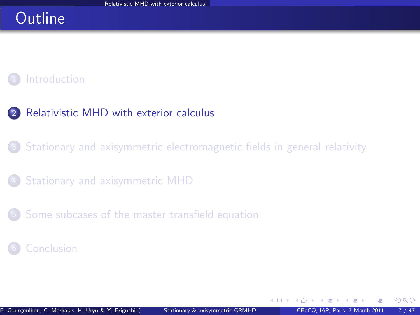## **Outline**

### **[Introduction](#page-2-0)**

### <sup>2</sup> [Relativistic MHD with exterior calculus](#page-7-0)

<sup>3</sup> [Stationary and axisymmetric electromagnetic fields in general relativity](#page-16-0)

<sup>4</sup> [Stationary and axisymmetric MHD](#page-30-0)

<sup>5</sup> [Some subcases of the master transfield equation](#page-52-0)

#### **[Conclusion](#page-59-0)**

<span id="page-7-0"></span> $\Omega$ 

**← ロ ▶ → イ 同**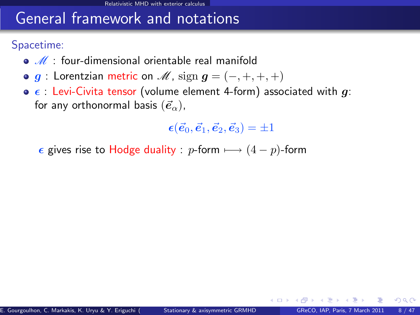### General framework and notations

Spacetime:

- $\bullet$   $\mathscr{M}$  : four-dimensional orientable real manifold
- $\bullet$  g : Lorentzian metric on  $\mathcal{M}$ , sign  $g = (-, +, +, +)$
- $\bullet$   $\epsilon$  : Levi-Civita tensor (volume element 4-form) associated with g: for any orthonormal basis  $(\vec{e}_{\alpha})$ ,

 $\epsilon(\vec{e}_0, \vec{e}_1, \vec{e}_2, \vec{e}_3) = \pm 1$ 

**∢ ロ ≯ - ∢ 何** 

 $\Omega$ 

 $\epsilon$  gives rise to Hodge duality : p-form  $\longmapsto (4 - p)$ -form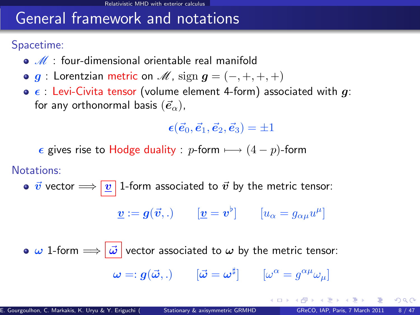### General framework and notations

Spacetime:

- $\bullet$   $\mathscr{M}$  : four-dimensional orientable real manifold
- $\bullet$  g : Lorentzian metric on  $\mathcal{M}$ , sign  $g = (-, +, +, +)$
- $\bullet$   $\epsilon$  : Levi-Civita tensor (volume element 4-form) associated with g: for any orthonormal basis  $(\vec{e}_{\alpha})$ ,

 $\epsilon(\vec{e}_0, \vec{e}_1, \vec{e}_2, \vec{e}_3) = \pm 1$ 

 $\epsilon$  gives rise to Hodge duality : p-form  $\longmapsto (4 - p)$ -form

Notations:

•  $\vec{v}$  vector  $\Longrightarrow$   $\boxed{v}$  1-form associated to  $\vec{v}$  by the metric tensor:

$$
\underline{\boldsymbol{v}} := \boldsymbol{g}(\vec{\boldsymbol{v}},.) \qquad [\underline{\boldsymbol{v}} = \boldsymbol{v}^{\flat}] \qquad [u_{\alpha} = g_{\alpha\mu}u^{\mu}]
$$

 $\bullet \omega$  1-form  $\Longrightarrow |\vec{\omega}|$  vector associated to  $\omega$  by the metric tensor:  $\bm{\omega} =: \bm{g}(\vec{\bm{\omega}},.) \qquad [\vec{\bm{\omega}} = \bm{\omega}^\sharp] \qquad [\omega^\alpha = g^{\alpha\mu}\omega_\mu]$ 

 $\Omega$ 

メロト メ母 トメミト メミト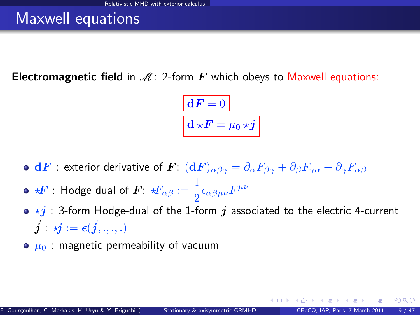### Maxwell equations

**Electromagnetic field** in  $\mathcal{M}$ : 2-form  $\mathbf{F}$  which obeys to Maxwell equations:

$$
\boxed{\mathbf{d} \mathbf{F} = 0}
$$

$$
\mathbf{d} \star \mathbf{F} = \mu_0 \star \underline{\mathbf{j}}
$$

- $\bullet\;{\bf d}F:$  exterior derivative of  $\bm F\colon({\bf d}F)_{\alpha\beta\gamma}=\partial_\alpha F_{\beta\gamma}+\partial_\beta F_{\gamma\alpha}+\partial_\gamma F_{\alpha\beta}$
- ?F : Hodge dual of F: ?Fαβ := 1  $\frac{1}{2}\epsilon_{\alpha\beta\mu\nu}F^{\mu\nu}$
- $\bullet \star j$  : 3-form Hodge-dual of the 1-form  $j$  associated to the electric 4-current  $\vec{\boldsymbol{j}}$  :  $\boldsymbol{\vec{y}}$   $:=$   $\boldsymbol{\epsilon}(\vec{\boldsymbol{j}}, ., ., .)$
- $\bullet$   $\mu_0$ : magnetic permeability of vacuum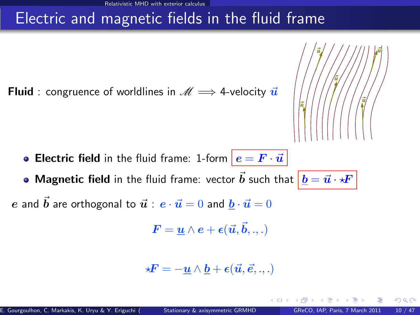# Electric and magnetic fields in the fluid frame

**Fluid** : congruence of worldlines in  $\mathcal{M} \implies$  4-velocity  $\vec{u}$ 



• Magnetic field in the fluid frame: vector  $\vec{b}$  such that  $\left| \,\underline{b} = \vec{u} \cdot \star \!\! F \,\right|$ 

e and  $\vec{b}$  are orthogonal to  $\vec{u}$  :  $e \cdot \vec{u} = 0$  and  $\vec{b} \cdot \vec{u} = 0$ 

$$
\textbf{\textit{F}}=\underline{\textbf{\textit{u}}}\wedge\textbf{\textit{e}}+\epsilon(\vec{\textit{u}},\vec{\textit{b}},.,.)
$$

$$
\star \boldsymbol{F} = -\underline{\boldsymbol{u}} \wedge \underline{\boldsymbol{b}} + \boldsymbol{\epsilon}(\vec{\boldsymbol{u}}, \vec{\boldsymbol{e}}, ..,.)
$$

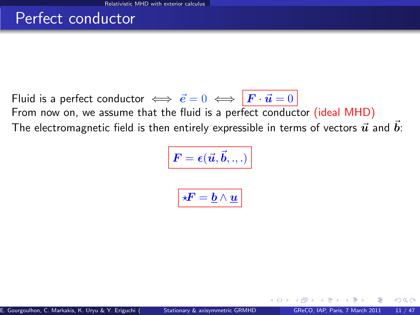### Perfect conductor

Fluid is a perfect conductor  $\iff \vec{e} = 0 \iff \vec{F} \cdot \vec{u} = 0$ From now on, we assume that the fluid is a perfect conductor (ideal MHD) The electromagnetic field is then entirely expressible in terms of vectors  $\vec{u}$  and  $\vec{b}$ :

$$
\boxed{\bm{F} = \bm{\epsilon}(\vec{\bm{u}}, \vec{\bm{b}}, .., )}
$$

$$
\boxed{ \star \! \! \! F = \underline{b} \wedge \underline{u} }
$$

4 D.K.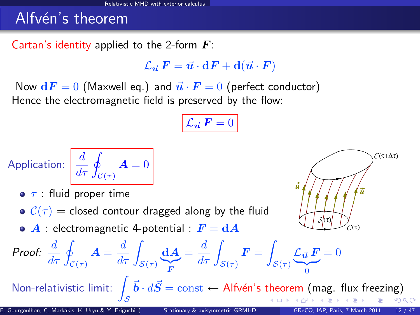### Alfvén's theorem

Cartan's identity applied to the 2-form  $\boldsymbol{F}$ :

 $\mathcal{L}_{\vec{u}}~F = \vec{u}\cdot dF + d(\vec{u}\cdot F)$ 

Now  $dF = 0$  (Maxwell eq.) and  $\vec{u} \cdot \vec{F} = 0$  (perfect conductor) Hence the electromagnetic field is preserved by the flow:

$$
\mathcal{L}_{\vec{\boldsymbol{u}}} \, \boldsymbol{F} = 0
$$

Application: 
$$
\frac{d}{d\tau} \oint_{\mathcal{C}(\tau)} \mathbf{A} = 0
$$

- $\bullet$   $\tau$  : fluid proper time
- $C(\tau)$  = closed contour dragged along by the fluid
- $\bullet$  A : electromagnetic 4-potential :  $F = dA$



Proof: 
$$
\frac{d}{d\tau} \oint_{\mathcal{C}(\tau)} \mathbf{A} = \frac{d}{d\tau} \int_{\mathcal{S}(\tau)} \underbrace{\mathbf{d} \mathbf{A}}_{\mathbf{F}} = \frac{d}{d\tau} \int_{\mathcal{S}(\tau)} \mathbf{F} = \int_{\mathcal{S}(\tau)} \underbrace{\mathcal{L}_{\vec{u}} \mathbf{F}}_{0} = 0
$$
  
\nNon-relativistic limit:  $\int_{\mathcal{S}} \vec{b} \cdot d\vec{S} = \text{const} \leftarrow \text{Alfvén's theorem (mag. flux freezing)}$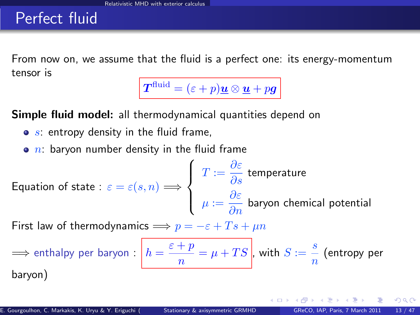### Perfect fluid

From now on, we assume that the fluid is a perfect one: its energy-momentum tensor is

 $\boldsymbol{T}^{\text{fluid}} = (\varepsilon + p)\boldsymbol{\underline{u}} \otimes \boldsymbol{\underline{u}} + p\boldsymbol{g}$ 

Simple fluid model: all thermodynamical quantities depend on

- $\bullet$  s: entropy density in the fluid frame,
- $\bullet$  n: baryon number density in the fluid frame

Equation of state : 
$$
\varepsilon = \varepsilon(s, n) \Longrightarrow
$$
 
$$
\begin{cases} T := \frac{\partial \varepsilon}{\partial s} \text{ temperature} \\ \mu := \frac{\partial \varepsilon}{\partial n} \text{ baryon chemical potential} \end{cases}
$$

First law of thermodynamics  $\implies p = -\varepsilon + Ts + \mu n$ 

$$
\implies \text{enthalpy per baryon}: \boxed{h = \frac{\varepsilon + p}{n} = \mu + TS}, \text{ with } S := \frac{s}{n} \text{ (entropy per baryon)}
$$

 $\Omega$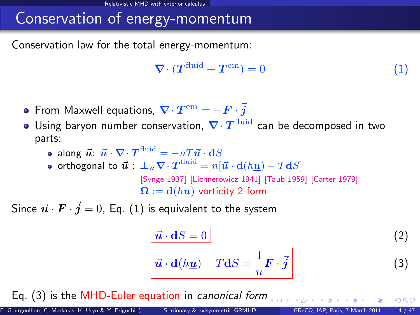# Conservation of energy-momentum

Conservation law for the total energy-momentum:

<span id="page-15-0"></span>
$$
\nabla \cdot (T^{\text{fluid}} + T^{\text{em}}) = 0 \tag{1}
$$

- From Maxwell equations,  $\boldsymbol{\nabla}\cdot\boldsymbol{T}^{\rm em}=-\boldsymbol{F}\cdot\boldsymbol{\vec{j}}$
- Using baryon number conservation,  $\nabla \cdot T^{\text{fluid}}$  can be decomposed in two parts:
	- along  $\vec{u}$ :  $\vec{u} \cdot \nabla \cdot \boldsymbol{T}^{\textrm{fluid}} = -n T \vec{u} \cdot \mathbf{d} S$
	- orthogonal to  $\vec{\bm{u}}:\ \bm{\bot_u\nabla}\cdot\bm{T}^{\text{fluid}}=n[\vec{\bm{u}}\cdot \mathbf{d}(h\underline{\bm{u}})-T\mathbf{d}S]$ [\[Synge 1937\]](#page-0-1) [\[Lichnerowicz 1941\]](#page-0-1) [\[Taub 1959\]](#page-0-1) [\[Carter 1979\]](#page-0-1)  $\mathbf{\Omega} := \mathbf{d}(hu)$  vorticity 2-form

Since  $\vec{u} \cdot \vec{F} \cdot \vec{j} = 0$ , Eq.  $(1)$  is equivalent to the system

<span id="page-15-3"></span><span id="page-15-2"></span><span id="page-15-1"></span>
$$
\frac{\vec{u} \cdot dS = 0}{\vec{u} \cdot d(h\underline{u}) - T dS = \frac{1}{n} \mathbf{F} \cdot \vec{j}
$$
 (2)

Eq. [\(3\)](#page-15-1) is the MHD-Euler equation in canonical form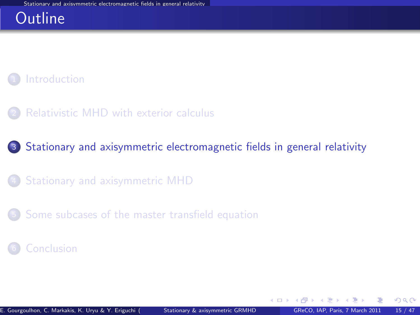### **Outline**



[Relativistic MHD with exterior calculus](#page-7-0)

<sup>3</sup> [Stationary and axisymmetric electromagnetic fields in general relativity](#page-16-0)

- <sup>4</sup> [Stationary and axisymmetric MHD](#page-30-0)
- <sup>5</sup> [Some subcases of the master transfield equation](#page-52-0)

#### **[Conclusion](#page-59-0)**

<span id="page-16-0"></span> $\Omega$ 

4 0 8 4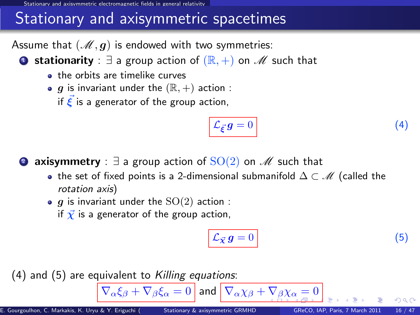d axisymmetric electromagnetic fields in general relati

### Stationary and axisymmetric spacetimes

Assume that  $(M, g)$  is endowed with two symmetries:

**■ stationarity** :  $\exists$  a group action of  $(\mathbb{R}, +)$  on  $\mathcal{M}$  such that

- **a** the orbits are timelike curves
- $\bullet$  g is invariant under the  $(\mathbb{R}, +)$  action :

if  $\vec{\xi}$  is a generator of the group action,

<span id="page-17-1"></span>
$$
\mathcal{L}_{\vec{\xi}}g=0\tag{4}
$$

**2 axisymmetry** :  $\exists$  a group action of  $SO(2)$  on  $\mathscr{M}$  such that

- the set of fixed points is a 2-dimensional submanifold  $\Delta \subset \mathcal{M}$  (called the rotation axis)
- $\bullet$  g is invariant under the  $SO(2)$  action :
	- if  $\vec{\chi}$  is a generator of the group action,

<span id="page-17-2"></span><span id="page-17-0"></span>
$$
\mathcal{L}_{\vec{\mathcal{X}}} g = 0 \tag{5}
$$

 $(4)$  and  $(5)$  are equivalent to Killing equations:

 $\overline{\nabla_{\alpha}\xi_{\beta}+\nabla_{\beta}\xi_{\alpha}}=0$  $\overline{\nabla_{\alpha}\xi_{\beta}+\nabla_{\beta}\xi_{\alpha}}=0$  $\overline{\nabla_{\alpha}\xi_{\beta}+\nabla_{\beta}\xi_{\alpha}}=0$  and  $\overline{\nabla_{\alpha}\chi_{\beta}+\nabla_{\beta}\chi_{\alpha}}=0$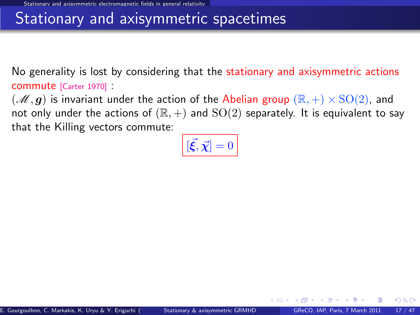### Stationary and axisymmetric spacetimes

No generality is lost by considering that the stationary and axisymmetric actions commute [\[Carter 1970\]](#page-0-1) :

 $(\mathscr{M}, g)$  is invariant under the action of the Abelian group  $(\mathbb{R}, +) \times \text{SO}(2)$ , and not only under the actions of  $(\mathbb{R}, +)$  and  $SO(2)$  separately. It is equivalent to say that the Killing vectors commute:

<span id="page-18-0"></span>
$$
\left[ \vec{\xi}, \vec{\chi} \right] = 0
$$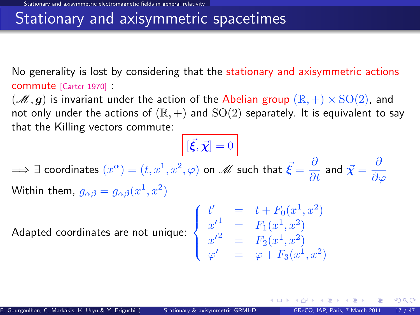### Stationary and axisymmetric spacetimes

No generality is lost by considering that the stationary and axisymmetric actions commute [\[Carter 1970\]](#page-0-1) :

 $(\mathscr{M}, g)$  is invariant under the action of the Abelian group  $(\mathbb{R}, +) \times \text{SO}(2)$ , and not only under the actions of  $(\mathbb{R}, +)$  and  $SO(2)$  separately. It is equivalent to say that the Killing vectors commute:

 $[\vec{\xi}, \vec{\chi}] = 0$  $\implies$   $\exists$  coordinates  $(x^\alpha)=(t,x^1,x^2,\varphi)$  on  $\mathscr{M}$  such that  $\vec{\bm{\xi}}=\frac{\partial}{\partial t}$  and  $\vec{\bm{\chi}}=\frac{\partial}{\partial \vec{\gamma}}$  $\partial\varphi$ Within them,  $g_{\alpha\beta}=g_{\alpha\beta}(x^1,x^2)$ 

Adapted coordinates are not unique:  $\Big\}$ 

$$
\begin{cases}\n t' &= t + F_0(x^1, x^2) \\
 x'^1 &= F_1(x^1, x^2) \\
 x'^2 &= F_2(x^1, x^2) \\
 \varphi' &= \varphi + F_3(x^1, x^2)\n\end{cases}
$$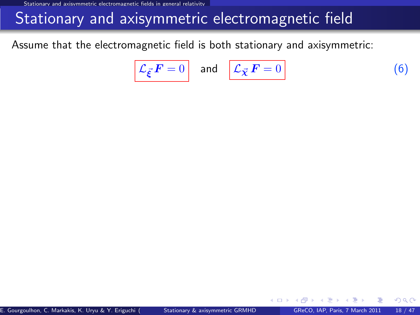Stationary and axisymmetric electromagnetic fields in general relativity

### Stationary and axisymmetric electromagnetic field

Assume that the electromagnetic field is both stationary and axisymmetric:

<span id="page-20-0"></span>
$$
\mathcal{L}_{\vec{\xi}} F = 0 \quad \text{and} \quad \mathcal{L}_{\vec{\chi}} F = 0 \tag{6}
$$

4 **D** F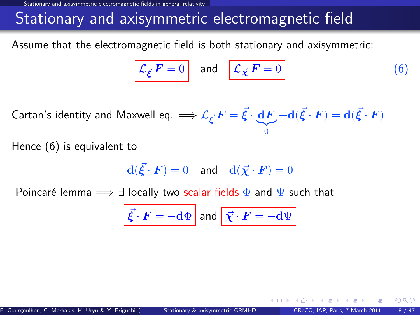Stationary and axisymmetric electromagnetic fields in general relativit

## Stationary and axisymmetric electromagnetic field

Assume that the electromagnetic field is both stationary and axisymmetric:

$$
\mathcal{L}_{\vec{\xi}} \mathbf{F} = 0 \quad \text{and} \quad \boxed{\mathcal{L}_{\vec{\chi}} \mathbf{F} = 0} \tag{6}
$$

Cartan's identity and Maxwell eq.  $\Longrightarrow {\mathcal L}_{\vec{\xi}}\,F = \vec{\xi} \cdot \frac{{\rm d} F}{}$  $|{}_{0}$  $+ \mathbf{d}(\vec{\xi}\cdot\bm{F}) = \mathbf{d}(\vec{\xi}\cdot\bm{F})$ 

Hence [\(6\)](#page-20-0) is equivalent to

$$
\mathbf{d}(\vec{\xi} \cdot \boldsymbol{F}) = 0 \quad \text{and} \quad \mathbf{d}(\vec{\chi} \cdot \boldsymbol{F}) = 0
$$

Poincaré lemma  $\implies \exists$  locally two scalar fields  $\Phi$  and  $\Psi$  such that

$$
\vec{\xi} \cdot \vec{F} = -\mathrm{d}\Phi \text{ and } \vec{\chi} \cdot \vec{F} = -\mathrm{d}\Psi
$$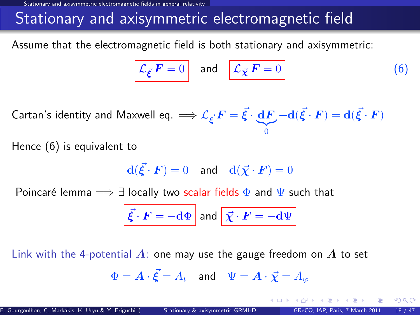Stationary and axisymmetric electromagnetic fields in general relativity

## Stationary and axisymmetric electromagnetic field

Assume that the electromagnetic field is both stationary and axisymmetric:

$$
\mathcal{L}_{\vec{\xi}} \mathbf{F} = 0 \quad \text{and} \quad \boxed{\mathcal{L}_{\vec{\chi}} \mathbf{F} = 0} \tag{6}
$$

Cartan's identity and Maxwell eq.  $\Longrightarrow {\mathcal L}_{\vec{\xi}}\,F = \vec{\xi} \cdot \frac{{\rm d} F}{}$  $|{}_{0}$  $+ \mathbf{d}(\vec{\xi}\cdot\bm{F}) = \mathbf{d}(\vec{\xi}\cdot\bm{F})$ 

Hence [\(6\)](#page-20-0) is equivalent to

$$
\mathbf{d}(\vec{\xi} \cdot \boldsymbol{F}) = 0 \quad \text{and} \quad \mathbf{d}(\vec{\chi} \cdot \boldsymbol{F}) = 0
$$

Poincaré lemma  $\implies \exists$  locally two scalar fields  $\Phi$  and  $\Psi$  such that

$$
\vec{\xi} \cdot \vec{F} = -\mathrm{d}\Phi \text{ and } \vec{\chi} \cdot \vec{F} = -\mathrm{d}\Psi
$$

Link with the 4-potential  $\vec{A}$ : one may use the gauge freedom on  $\vec{A}$  to set

$$
\Phi = \boldsymbol{A} \cdot \vec{\boldsymbol{\xi}} = A_t \quad \text{and} \quad \Psi = \boldsymbol{A} \cdot \vec{\boldsymbol{\chi}} = A_\varphi
$$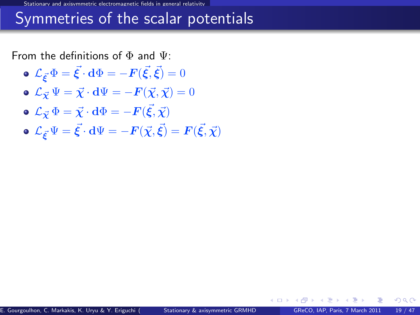Stationary and axisymmetric electromagnetic fields in general relativity

### Symmetries of the scalar potentials

From the definitions of  $\Phi$  and  $\Psi$ :

- $\mathcal{L}_{\vec{\boldsymbol{\xi}}}\Phi=\vec{\boldsymbol{\xi}}\cdot\mathbf{d}\Phi=-\boldsymbol{F}(\vec{\boldsymbol{\xi}},\vec{\boldsymbol{\xi}})=0$
- $\mathbf{L}_{\vec{X}}\Psi = \vec{X}\cdot d\Psi = -\mathbf{F}(\vec{X},\vec{X}) = 0$
- $\mathcal{L}_{\vec{\boldsymbol\chi}}\,\Phi=\vec{\boldsymbol\chi}\cdot{\bf d}\Phi=-{\boldsymbol F}(\vec{\boldsymbol\xi},\vec{\boldsymbol\chi})$
- $\mathcal{L}_{\vec{\bm{\xi}}} \Psi = \vec{\bm{\xi}} \cdot \mathbf{d} \Psi = -\bm{F}(\vec{\chi},\vec{\bm{\xi}}) = \bm{F}(\vec{\bm{\xi}},\vec{\chi})$

 $\Omega$ 

4 D.K.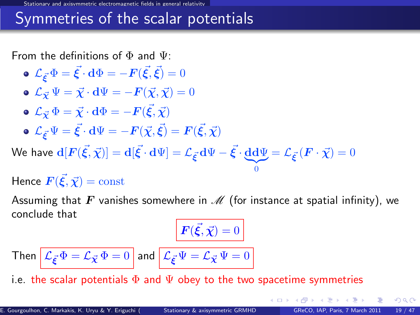### Symmetries of the scalar potentials

From the definitions of  $\Phi$  and  $\Psi$ :

\n- \n
$$
\mathcal{L}_{\vec{\xi}} \Phi = \vec{\xi} \cdot d\Phi = -F(\vec{\xi}, \vec{\xi}) = 0
$$
\n
\n- \n
$$
\mathcal{L}_{\vec{\chi}} \Psi = \vec{\chi} \cdot d\Psi = -F(\vec{\chi}, \vec{\chi}) = 0
$$
\n
\n- \n
$$
\mathcal{L}_{\vec{\chi}} \Phi = \vec{\chi} \cdot d\Phi = -F(\vec{\xi}, \vec{\chi})
$$
\n
\n- \n
$$
\mathcal{L}_{\vec{\xi}} \Psi = \vec{\xi} \cdot d\Psi = -F(\vec{\chi}, \vec{\xi}) = F(\vec{\xi}, \vec{\chi})
$$
\n
\n- \n
$$
\mathcal{L}_{\vec{\xi}} \Psi = \vec{\xi} \cdot d\Psi = -F(\vec{\chi}, \vec{\xi}) = F(\vec{\xi}, \vec{\chi})
$$
\n
\n- \n
$$
\mathcal{L}_{\vec{\xi}} \Psi = \vec{\xi} \cdot d\Psi = -F(\vec{\chi}, \vec{\xi}) = F(\vec{\xi}, \vec{\chi})
$$
\n
\n

We have  $\mathbf{d}[F(\vec{\xi},\vec{\chi})] = \mathbf{d}[\vec{\xi}\cdot\mathbf{d}\Psi] = \mathcal{L}_{\vec{\xi}}\cdot\mathbf{d}\Psi - \vec{\xi}\cdot\underbrace{\mathbf{d}\mathbf{d}\Psi}_{0} = \mathcal{L}_{\vec{\xi}}\cdot\left(\bm{F}\cdot\vec{\chi}\right) = 0$ 

Hence  $\vec{F(\vec{\xi},\vec{\chi})} = \mathrm{const}$ 

Assuming that F vanishes somewhere in  $\mathcal M$  (for instance at spatial infinity), we conclude that

<span id="page-24-0"></span> $\bf{0}$ 

$$
\mathbf{F}(\vec{\xi}, \vec{\chi}) = 0
$$

Then 
$$
\mathcal{L}_{\vec{\xi}} \Phi = \mathcal{L}_{\vec{\chi}} \Phi = 0
$$
 and  $\mathcal{L}_{\vec{\xi}} \Psi = \mathcal{L}_{\vec{\chi}} \Psi = 0$ 

i.e. the scalar potentials  $\Phi$  and  $\Psi$  obey to the two spacetime symmetries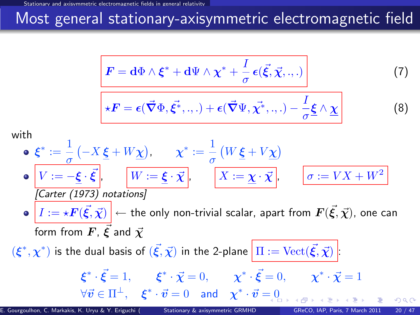# Most general stationary-axisymmetric electromagnetic field

$$
\mathbf{F} = \mathbf{d}\Phi \wedge \boldsymbol{\xi}^* + \mathbf{d}\Psi \wedge \boldsymbol{\chi}^* + \frac{I}{\sigma} \boldsymbol{\epsilon}(\vec{\xi}, \vec{\chi}, \cdot, \cdot) \tag{7}
$$

$$
\boxed{ \star F = \epsilon(\vec{\nabla}\Phi,\vec{\xi^*},.,.) + \epsilon(\vec{\nabla}\Psi,\vec{\chi^*},.,.) - \frac{I}{\sigma}\underline{\xi}\wedge \underline{\chi}}
$$

with

$$
\begin{aligned}\n\mathbf{e} \quad & \xi^* := \frac{1}{\sigma} \left( -X \, \underline{\xi} + W \underline{\chi} \right), \qquad \chi^* := \frac{1}{\sigma} \left( W \, \underline{\xi} + V \underline{\chi} \right) \\
& \mathbf{e} \quad \boxed{V := -\underline{\xi} \cdot \vec{\xi}}, \qquad \boxed{W := \underline{\xi} \cdot \vec{\chi}}, \qquad \boxed{X := \underline{\chi} \cdot \vec{\chi}}, \qquad \boxed{\sigma := VX + W^2} \\
\boxed{\text{Carter (1973) notations}} \\
\mathbf{e} \quad & \boxed{I := \star \mathbf{F}(\vec{\xi}, \vec{\chi})} \leftarrow \text{the only non-trivial scalar, apart from } \mathbf{F}(\vec{\xi}, \vec{\chi}), \text{ one can form from } \mathbf{F}, \, \vec{\xi} \text{ and } \vec{\chi} \\
& (\xi^*, \chi^*) \text{ is the dual basis of } (\vec{\xi}, \vec{\chi}) \text{ in the 2-plane } \boxed{\Pi := \text{Vect}(\vec{\xi}, \vec{\chi})} \\
& \xi^* \cdot \vec{\xi} = 1, \qquad \xi^* \cdot \vec{\chi} = 0, \qquad \chi^* \cdot \vec{\xi} = 0, \qquad \chi^* \cdot \vec{\chi} = 1 \\
& \forall \vec{\sigma} \in \Pi^\perp, \quad \xi^* \cdot \vec{\sigma} = 0 \quad \text{and} \quad \chi^* \cdot \vec{\sigma} = 0\n\end{aligned}
$$

E. Gourgoulhon, C. Markakis, K. Uryu & Y. Eriguchi () [Stationary & axisymmetric GRMHD](#page-0-0) GReCO, IAP, Paris, 7 March 2011 20 / 47

<span id="page-25-2"></span><span id="page-25-1"></span> $(8)$ 

<span id="page-25-0"></span> $QQ$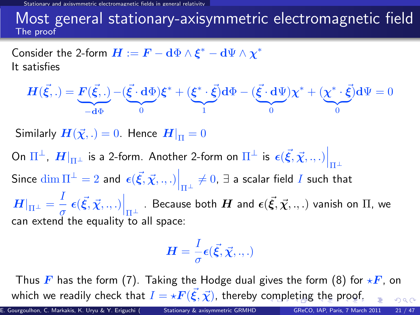nagnetic fields in general relativit

#### Most general stationary-axisymmetric electromagnetic field The proof

Consider the 2-form  $\boldsymbol{H}:=\boldsymbol{F}-\mathbf{d}\Phi\wedge\boldsymbol{\xi}^*-\mathbf{d}\Psi\wedge\boldsymbol{\chi}^*$ It satisfies

$$
\boldsymbol{H}(\vec{\xi},.) = \underbrace{\boldsymbol{F}(\vec{\xi},.)}_{-d\Phi} - (\underbrace{\vec{\xi} \cdot d\Phi}_{0})\boldsymbol{\xi}^* + (\underbrace{\boldsymbol{\xi}^* \cdot \vec{\xi}}_{1})d\Phi - (\underbrace{\vec{\xi} \cdot d\Psi}_{0})\boldsymbol{\chi}^* + (\underbrace{\boldsymbol{\chi}^* \cdot \vec{\xi}}_{0})d\Psi = 0
$$

Similarly  $H(\vec{\chi},.)=0$ . Hence  $H|_{\Pi}=0$ 

On  $\Pi^\perp$ ,  $\left. H \right|_{\Pi^\perp}$  is a 2-form. Another 2-form on  $\Pi^\perp$  is  $\left. \epsilon (\vec{\xi},\vec{\chi},.,.) \right|_{\Pi^\perp}$ Since  $\dim \Pi^\perp = 2$  and  $\left. \epsilon(\vec{\xi},\vec{\chi}, ., .) \right|_{\Pi^\perp} \neq 0, \, \exists$  a scalar field  $I$  such that  $\left. H \right|_{\Pi^{\pm}} = \frac{I}{\sigma}$  $\left. \frac{1}{\sigma}\right\vert \epsilon(\vec{\xi},\vec{\chi},.,.)\Big|_{\Pi^{\perp}}$  . Because both  $H$  and  $\epsilon(\vec{\xi},\vec{\chi},.,.)$  vanish on  $\Pi$ , we can extend the equality to all space:

<span id="page-26-0"></span>
$$
\boldsymbol{H}=\frac{I}{\sigma}\boldsymbol{\epsilon}(\vec{\boldsymbol{\xi}},\vec{\boldsymbol{\chi}},.,.)
$$

Thus F has the form [\(7\)](#page-25-1). Taking the Hodge dual gives the form [\(8\)](#page-25-2) for  $\star$ F, on which we readily check [t](#page-25-0)[h](#page-16-0)at  $I = \star \boldsymbol{F}(\vec{\xi},\vec{\chi})$  $I = \star \boldsymbol{F}(\vec{\xi},\vec{\chi})$  $I = \star \boldsymbol{F}(\vec{\xi},\vec{\chi})$ , thereby c[om](#page-25-0)[ple](#page-27-0)t[in](#page-26-0)[g](#page-27-0) [t](#page-15-2)he [p](#page-30-0)[ro](#page-15-2)[o](#page-16-0)[f](#page-29-0)[.](#page-30-0)  $\Omega$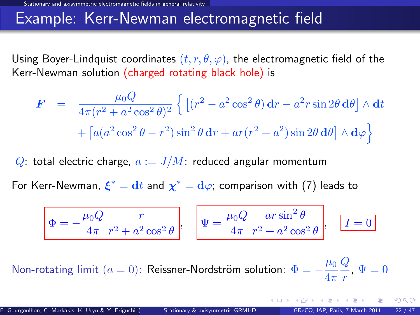### Example: Kerr-Newman electromagnetic field

Using Boyer-Lindquist coordinates  $(t, r, \theta, \varphi)$ , the electromagnetic field of the Kerr-Newman solution (charged rotating black hole) is

$$
\mathbf{F} = \frac{\mu_0 Q}{4\pi (r^2 + a^2 \cos^2 \theta)^2} \left\{ \left[ (r^2 - a^2 \cos^2 \theta) \mathbf{d}r - a^2 r \sin 2\theta \mathbf{d}\theta \right] \wedge \mathbf{d}t + \left[ a(a^2 \cos^2 \theta - r^2) \sin^2 \theta \mathbf{d}r + ar(r^2 + a^2) \sin 2\theta \mathbf{d}\theta \right] \wedge \mathbf{d}\varphi \right\}
$$

Q: total electric charge,  $a := J/M$ : reduced angular momentum

For Kerr-Newman,  $\xi^* = \mathrm{d}t$  and  $\chi^* = \mathrm{d}\varphi$ ; comparison with [\(7\)](#page-25-1) leads to

<span id="page-27-0"></span>
$$
\Phi = -\frac{\mu_0 Q}{4\pi} \frac{r}{r^2 + a^2 \cos^2 \theta}, \quad \Psi = \frac{\mu_0 Q}{4\pi} \frac{ar \sin^2 \theta}{r^2 + a^2 \cos^2 \theta}, \quad \boxed{I = 0}
$$

Non-rotating limit  $(a = 0)$ : Reissner-Nordström solution:  $\Phi = -\frac{\mu_0}{4}$  $4\pi$  $\overline{Q}$  $\frac{q}{r}$ ,  $\Psi = 0$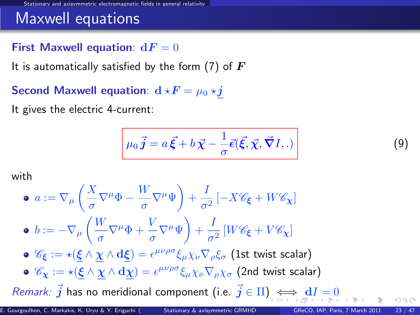### Maxwell equations

#### First Maxwell equation:  $dF = 0$

It is automatically satisfied by the form [\(7\)](#page-25-1) of  $\bm{F}$ 

Second Maxwell equation:  $\mathbf{d} \star \mathbf{F} = \mu_0 \star \mathbf{j}$ 

It gives the electric 4-current:

<span id="page-28-1"></span><span id="page-28-0"></span>
$$
\mu_0 \vec{j} = a \vec{\xi} + b \vec{\chi} - \frac{1}{\sigma} \vec{\epsilon}(\vec{\xi}, \vec{\chi}, \vec{\nabla} I, .)
$$
\n(9)

with

\n- \n
$$
a := \nabla_{\mu} \left( \frac{X}{\sigma} \nabla^{\mu} \Phi - \frac{W}{\sigma} \nabla^{\mu} \Psi \right) + \frac{I}{\sigma^2} \left[ -X \mathcal{C}_{\xi} + W \mathcal{C}_{\chi} \right]
$$
\n
\n- \n
$$
b := -\nabla_{\mu} \left( \frac{W}{\sigma} \nabla^{\mu} \Phi + \frac{V}{\sigma} \nabla^{\mu} \Psi \right) + \frac{I}{\sigma^2} \left[ W \mathcal{C}_{\xi} + V \mathcal{C}_{\chi} \right]
$$
\n
\n- \n
$$
\mathcal{C}_{\xi} := \star \left( \xi \wedge \underline{\chi} \wedge d\xi \right) = \epsilon^{\mu\nu\rho\sigma} \xi_{\mu} \chi_{\nu} \nabla_{\rho} \xi_{\sigma} \text{ (1st twist scalar)}
$$
\n
\n- \n
$$
\mathcal{C}_{\chi} := \star \left( \underline{\xi} \wedge \underline{\chi} \wedge d\underline{\chi} \right) = \epsilon^{\mu\nu\rho\sigma} \xi_{\mu} \chi_{\nu} \nabla_{\rho} \chi_{\sigma} \text{ (2nd twist scalar)}
$$
\n
\n- \n*Remark:*  $\vec{j}$  has no meridional component (i.e.  $\vec{j} \in \Pi$ ) and  $\xi \in \mathcal{C}_{\chi}$  and  $\xi \in \mathcal{C}_{\chi}$  and  $\xi \in \mathcal{C}_{\chi}$  and  $\xi \in \mathcal{C}_{\chi}$  and  $\xi \in \mathcal{C}_{\chi}$  and  $\xi \in \mathcal{C}_{\chi}$  and  $\xi \in \mathcal{C}_{\chi}$  and  $\xi \in \mathcal{C}_{\chi}$  and  $\xi \in \mathcal{C}_{\chi}$  and  $\xi \in \mathcal{C}_{\chi}$  and  $\xi \in \mathcal{C}_{\chi}$  and  $\xi \in \mathcal{C}_{\chi}$  and  $\xi \in \mathcal{C}_{\chi}$  and  $\xi \in \mathcal{C}_{\chi}$  and <math display="</li>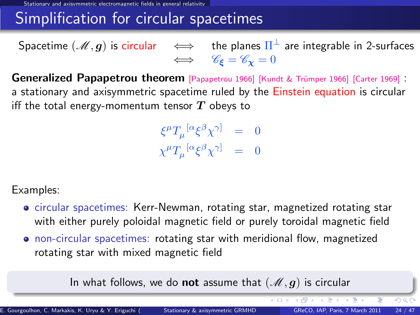Stationary and axisymmetric electromagnetic fields in general relativity

## Simplification for circular spacetimes

Spacetime  $(\mathscr{M},\bm{g})$  is circular  $\quad\Longleftrightarrow\quad$  the planes  $\Pi^\perp$  are integrable in 2-surfaces  $\iff$   $\mathscr{C}_{\epsilon} = \mathscr{C}_{\mathbf{v}} = 0$ 

Generalized Papapetrou theorem [\[Papapetrou 1966\]](#page-0-1) [Kundt & Trümper 1966] [\[Carter 1969\]](#page-0-1) : a stationary and axisymmetric spacetime ruled by the Einstein equation is circular iff the total energy-momentum tensor  $T$  obeys to

> $\xi^\mu T_\mu^{~[\alpha}\xi^\beta\chi^{\gamma]} ~=~ 0$  $\chi^\mu T_\mu{}^{[\alpha} \xi^\beta \chi^{\gamma]} \quad = \quad 0$

Examples:

- circular spacetimes: Kerr-Newman, rotating star, magnetized rotating star with either purely poloidal magnetic field or purely toroidal magnetic field
- non-circular spacetimes: rotating star with meridional flow, magnetized rotating star with mixed magnetic field

In what follows, we do not assume that  $(\mathcal{M}, g)$  is circular

<span id="page-29-0"></span>イロト イ押 トイヨ トイヨー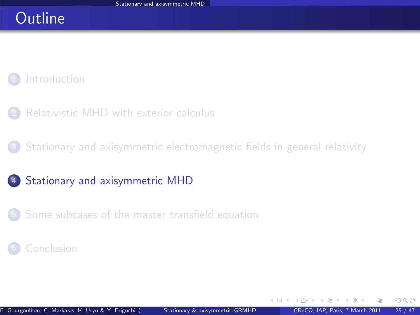### **Outline**

### **[Introduction](#page-2-0)**

- [Relativistic MHD with exterior calculus](#page-7-0)
- <sup>3</sup> [Stationary and axisymmetric electromagnetic fields in general relativity](#page-16-0)
- 4 [Stationary and axisymmetric MHD](#page-30-0)
- <sup>5</sup> [Some subcases of the master transfield equation](#page-52-0)

#### **[Conclusion](#page-59-0)**

<span id="page-30-0"></span> $\Omega$ 

4 0 8 1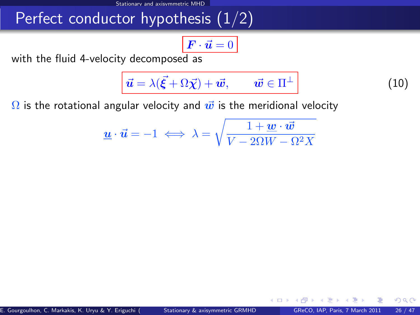# Perfect conductor hypothesis  $(1/2)$

$$
\boxed{\boldsymbol{F}\cdot\vec{\boldsymbol{u}}=0}
$$

with the fluid 4-velocity decomposed as

<span id="page-31-1"></span>
$$
\vec{u} = \lambda(\vec{\xi} + \Omega \vec{\chi}) + \vec{w}, \qquad \vec{w} \in \Pi^{\perp}
$$
 (10)

<span id="page-31-2"></span><span id="page-31-0"></span>4 **D** F

 $\Omega$ 

 $\Omega$  is the rotational angular velocity and  $\vec{w}$  is the meridional velocity

$$
\underline{\boldsymbol{u}}\cdot\vec{\boldsymbol{u}}=-1\iff\lambda=\sqrt{\frac{1+\underline{\boldsymbol{w}}\cdot\vec{\boldsymbol{w}}}{V-2\Omega W-\Omega^2X}}
$$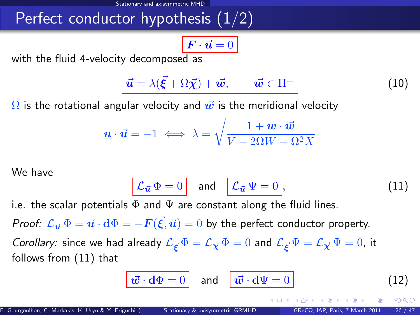# Perfect conductor hypothesis (1/2)

$$
\boxed{\boldsymbol{F}\cdot\vec{\boldsymbol{u}}=0}
$$

with the fluid 4-velocity decomposed as

$$
\vec{u} = \lambda(\vec{\xi} + \Omega \vec{\chi}) + \vec{w}, \qquad \vec{w} \in \Pi^{\perp}
$$
 (10)

 $\Omega$  is the rotational angular velocity and  $\vec{w}$  is the meridional velocity

$$
\underline{\boldsymbol{u}}\cdot\vec{\boldsymbol{u}}=-1\iff\lambda=\sqrt{\frac{1+\underline{\boldsymbol{w}}\cdot\vec{\boldsymbol{w}}}{V-2\Omega W-\Omega^2X}}
$$

We have

$$
\mathcal{L}_{\vec{u}}\,\Phi=0\quad\text{and}\quad\boxed{\mathcal{L}_{\vec{u}}\,\Psi=0},\tag{11}
$$

i.e. the scalar potentials  $\Phi$  and  $\Psi$  are constant along the fluid lines.

*Proof:*  $\mathcal{L}_{\vec{u}}\,\Phi=\vec{u}\cdot\mathrm{d}\Phi=-F(\vec{\xi},\vec{u})=0$  *by the perfect conductor property.* 

Corollary: since we had already  $\mathcal{L}_{\vec{\kappa}}\Phi = \mathcal{L}_{\vec{\chi}}\Phi = 0$  and  $\mathcal{L}_{\vec{\kappa}}\Psi = \mathcal{L}_{\vec{\chi}}\Psi = 0$ , it follows from [\(11\)](#page-31-0) that

$$
\vec{w} \cdot \mathbf{d}\Phi = 0 \quad \text{and} \quad \vec{w} \cdot \mathbf{d}\Psi = 0 \tag{12}
$$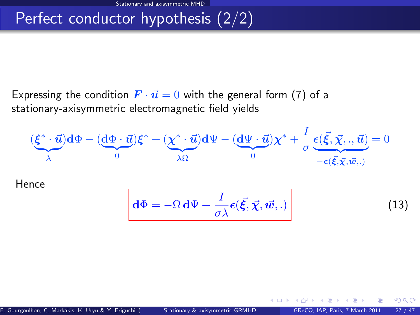# Perfect conductor hypothesis (2/2)

Expressing the condition  $\vec{F} \cdot \vec{u} = 0$  with the general form [\(7\)](#page-25-1) of a stationary-axisymmetric electromagnetic field yields

$$
(\underbrace{\xi^* \cdot \vec{u}}_{\lambda}) d\Phi - (\underbrace{d\Phi \cdot \vec{u}}_{0}) \xi^* + (\underbrace{\chi^* \cdot \vec{u}}_{\lambda \Omega}) d\Psi - (\underbrace{d\Psi \cdot \vec{u}}_{0}) \chi^* + \frac{I}{\sigma} \underbrace{\epsilon(\vec{\xi}, \vec{\chi}, \cdot, \vec{u})}_{-\epsilon(\vec{\xi}, \vec{\chi}, \vec{w}, \cdot)} = 0
$$

Hence

$$
\mathbf{d}\Phi = -\Omega \mathbf{d}\Psi + \frac{I}{\sigma\lambda} \boldsymbol{\epsilon}(\vec{\xi}, \vec{\chi}, \vec{w}, .)
$$
 (13)

<span id="page-33-0"></span>

 $QQ$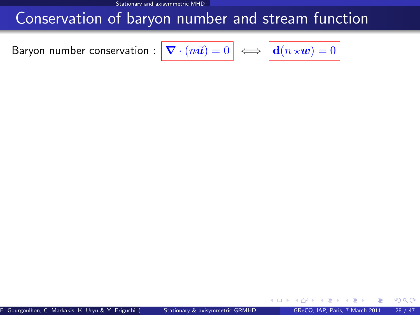Stationary and axisymmetric MHD

### Conservation of baryon number and stream function

<span id="page-34-0"></span>Baryon number conservation :

$$
\boxed{\boldsymbol{\nabla}\cdot(n\vec{\boldsymbol{u}})=0} \iff \boxed{\mathbf{d}(n\star\underline{\boldsymbol{w}})=0}
$$

E. Gourgoulhon, C. Markakis, K. Uryu & Y. Eriguchi () [Stationary & axisymmetric GRMHD](#page-0-0) GReCO, IAP, Paris, 7 March 2011 28 / 47

<span id="page-34-1"></span>4.0.3

 $299$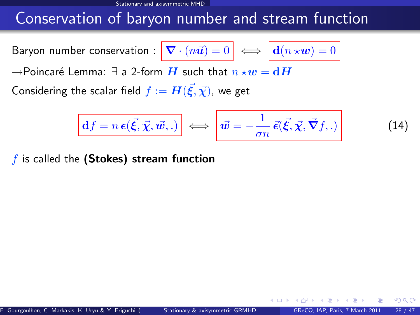Stationary and axisymmetric MHD

## Conservation of baryon number and stream function

Baryon number conservation :  $\nabla$ 

$$
\mathbf{I} \cdot (n\vec{u}) = 0 \iff \boxed{\mathbf{d}(n \star \underline{w}) = 0}
$$

 $\rightarrow$ Poincaré Lemma:  $\exists$  a 2-form  $H$  such that  $n \star w = dH$ 

Considering the scalar field  $f:=\bm{H}(\vec{\bm{\xi}},\vec{\bm{\chi}})$ , we get

$$
\boxed{\mathbf{d}f = n\,\boldsymbol{\epsilon}(\vec{\xi}, \vec{\chi}, \vec{w}, .)} \iff \left| \vec{w} = -\frac{1}{\sigma n} \,\vec{\epsilon}(\vec{\xi}, \vec{\chi}, \vec{\nabla}f, .) \right| \tag{14}
$$

 $f$  is called the (Stokes) stream function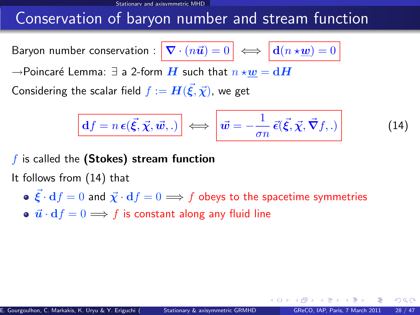## Conservation of baryon number and stream function

Baryon number conservation :  $\nabla$ 

$$
\mathbf{I} \cdot (n\vec{u}) = 0 \iff \boxed{\mathbf{d}(n \star \underline{\boldsymbol{w}})} = 0
$$

 $\rightarrow$ Poincaré Lemma:  $\exists$  a 2-form  $\boldsymbol{H}$  such that  $n \star \boldsymbol{w} = \mathbf{d}\boldsymbol{H}$ 

Considering the scalar field  $f:=\bm{H}(\vec{\bm{\xi}},\vec{\bm{\chi}})$ , we get

$$
\boxed{\mathbf{d}f = n\,\boldsymbol{\epsilon}(\vec{\xi}, \vec{\chi}, \vec{\boldsymbol{w}},.)} \iff \boxed{\vec{\boldsymbol{w}} = -\frac{1}{\sigma n}\,\vec{\epsilon}(\vec{\xi}, \vec{\chi}, \vec{\nabla}f,.)}
$$
(14)

 $f$  is called the (Stokes) stream function

It follows from [\(14\)](#page-34-0) that

- $\vec{\mathcal{E}} \cdot d f = 0$  and  $\vec{\chi} \cdot d f = 0 \Longrightarrow f$  obeys to the spacetime symmetries
- $\vec{u} \cdot df = 0 \Longrightarrow f$  is constant along any fluid line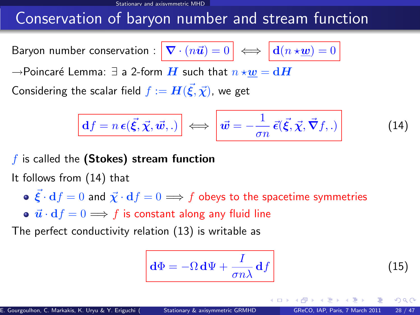# Conservation of baryon number and stream function

Baryon number conservation :  $\nabla$ 

$$
\mathbf{C} \cdot (n\vec{u}) = 0 \iff \boxed{\mathbf{d}(n \star \underline{\boldsymbol{w}})} = 0
$$

 $\rightarrow$ Poincaré Lemma:  $\exists$  a 2-form  $\boldsymbol{H}$  such that  $n \star \boldsymbol{w} = \mathbf{d}\boldsymbol{H}$ 

Considering the scalar field  $f:=\bm{H}(\vec{\bm{\xi}},\vec{\bm{\chi}})$ , we get

$$
\boxed{\mathbf{d}f = n\,\boldsymbol{\epsilon}(\vec{\xi}, \vec{\chi}, \vec{\boldsymbol{w}},.)} \iff \boxed{\vec{\boldsymbol{w}} = -\frac{1}{\sigma n}\,\vec{\epsilon}(\vec{\xi}, \vec{\chi}, \vec{\boldsymbol{\nabla}}f,.)} \tag{14}
$$

 $f$  is called the (Stokes) stream function

It follows from [\(14\)](#page-34-0) that

•  $\vec{\mathcal{E}} \cdot d f = 0$  and  $\vec{\chi} \cdot d f = 0 \Longrightarrow f$  obeys to the spacetime symmetries

•  $\vec{u} \cdot df = 0 \Longrightarrow f$  is constant along any fluid line

The perfect conductivity relation [\(13\)](#page-33-0) is writable as

$$
\mathbf{d}\Phi = -\Omega \,\mathbf{d}\Psi + \frac{I}{\sigma n\lambda} \,\mathbf{d}f\tag{15}
$$

E. Gourgoulhon, C. Markakis, K. Uryu & Y. Eriguchi () [Stationary & axisymmetric GRMHD](#page-0-0) GReCO, IAP, Paris, 7 March 2011 28 / 47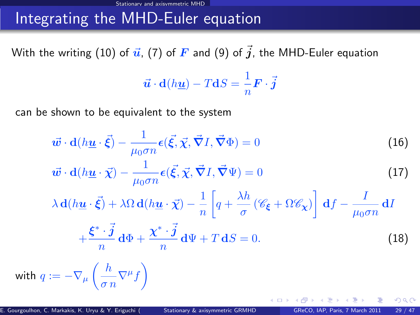# Integrating the MHD-Euler equation

With the writing [\(10\)](#page-31-1) of  $\vec{u}$ , [\(7\)](#page-25-1) of  $\vec{F}$  and [\(9\)](#page-28-1) of  $\vec{j}$ , the MHD-Euler equation

<span id="page-38-1"></span><span id="page-38-0"></span>
$$
\vec{u} \cdot d(h\underline{u}) - TdS = \frac{1}{n} \mathbf{F} \cdot \vec{j}
$$

can be shown to be equivalent to the system

$$
\vec{w} \cdot d(h\underline{u} \cdot \vec{\xi}) - \frac{1}{\mu_0 \sigma n} \epsilon(\vec{\xi}, \vec{\chi}, \vec{\nabla} I, \vec{\nabla} \Phi) = 0
$$
(16)  

$$
\vec{w} \cdot d(h\underline{u} \cdot \vec{\chi}) - \frac{1}{\mu_0 \sigma n} \epsilon(\vec{\xi}, \vec{\chi}, \vec{\nabla} I, \vec{\nabla} \Psi) = 0
$$
(17)  

$$
\lambda d(h\underline{u} \cdot \vec{\xi}) + \lambda \Omega d(h\underline{u} \cdot \vec{\chi}) - \frac{1}{n} \left[ q + \frac{\lambda h}{\sigma} (\mathscr{C}_{\xi} + \Omega \mathscr{C}_{\chi}) \right] df - \frac{I}{\mu_0 \sigma n} dI
$$
  

$$
\xi^* \cdot \vec{j} d\Phi + \chi^* \cdot \vec{j} d\Phi + \chi^* \cdot \vec{j} d\Phi + T dS = 0
$$
(18)

<span id="page-38-2"></span>
$$
+\frac{\xi^*\cdot j}{n}\,\mathrm{d}\Phi+\frac{\chi^*\cdot j}{n}\,\mathrm{d}\Psi+T\,\mathrm{d}S=0.\tag{18}
$$

with  $q:=-\nabla_{\mu}\left(\frac{h}{\tau}\right)$  $\left(\frac{h}{\sigma n}\nabla^{\mu}f\right)$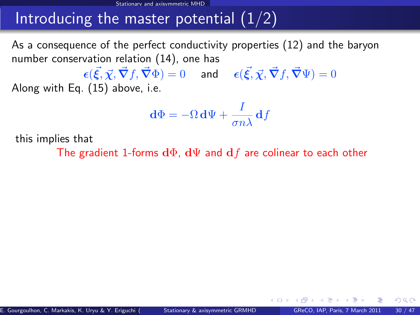As a consequence of the perfect conductivity properties [\(12\)](#page-31-2) and the baryon number conservation relation [\(14\)](#page-34-0), one has

 $\bm{\epsilon}(\vec{\xi},\vec{\chi},\vec{\nabla}f,\vec{\nabla}\Phi)=0 \hspace{0.5cm} \textsf{and} \hspace{0.5cm} \bm{\epsilon}(\vec{\xi},\vec{\chi},\vec{\nabla}f,\vec{\nabla}\Psi)=0$ Along with Eq. [\(15\)](#page-34-1) above, i.e.

$$
\mathbf{d}\Phi = -\Omega \,\mathbf{d}\Psi + \frac{I}{\sigma n\lambda} \,\mathbf{d}f
$$

this implies that

The gradient 1-forms  $d\Phi$ ,  $d\Psi$  and  $df$  are colinear to each other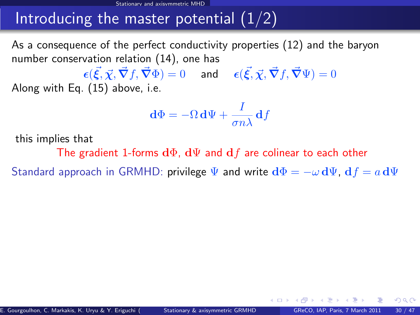As a consequence of the perfect conductivity properties [\(12\)](#page-31-2) and the baryon number conservation relation [\(14\)](#page-34-0), one has

 $\bm{\epsilon}(\vec{\xi},\vec{\chi},\vec{\nabla}f,\vec{\nabla}\Phi)=0 \hspace{0.5cm} \textsf{and} \hspace{0.5cm} \bm{\epsilon}(\vec{\xi},\vec{\chi},\vec{\nabla}f,\vec{\nabla}\Psi)=0$ Along with Eq. [\(15\)](#page-34-1) above, i.e.

$$
\mathbf{d}\Phi = -\Omega \,\mathbf{d}\Psi + \frac{I}{\sigma n\lambda} \,\mathbf{d}f
$$

this implies that

The gradient 1-forms  $d\Phi$ ,  $d\Psi$  and  $df$  are colinear to each other

Standard approach in GRMHD: privilege  $\Psi$  and write  $d\Phi = -\omega d\Psi$ ,  $df = a d\Psi$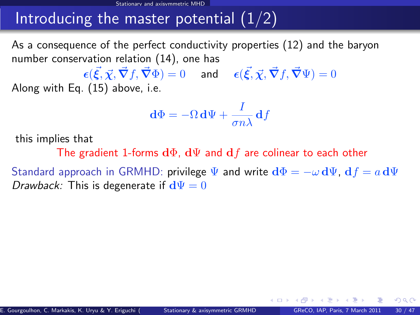As a consequence of the perfect conductivity properties [\(12\)](#page-31-2) and the baryon number conservation relation [\(14\)](#page-34-0), one has

 $\bm{\epsilon}(\vec{\xi},\vec{\chi},\vec{\nabla}f,\vec{\nabla}\Phi)=0 \hspace{0.5cm} \textsf{and} \hspace{0.5cm} \bm{\epsilon}(\vec{\xi},\vec{\chi},\vec{\nabla}f,\vec{\nabla}\Psi)=0$ Along with Eq. [\(15\)](#page-34-1) above, i.e.

$$
\mathbf{d}\Phi = -\Omega \,\mathbf{d}\Psi + \frac{I}{\sigma n\lambda} \,\mathbf{d}f
$$

this implies that

The gradient 1-forms  $d\Phi$ ,  $d\Psi$  and  $df$  are colinear to each other

 $\Omega$ 

Standard approach in GRMHD: privilege  $\Psi$  and write  $d\Phi = -\omega d\Psi$ ,  $df = a d\Psi$ Drawback: This is degenerate if  $d\Psi = 0$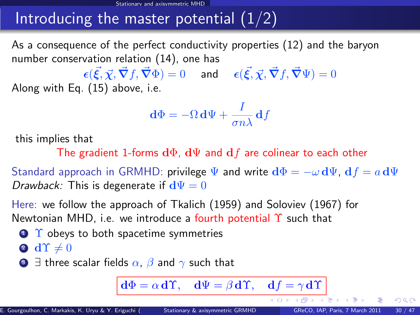As a consequence of the perfect conductivity properties [\(12\)](#page-31-2) and the baryon number conservation relation [\(14\)](#page-34-0), one has

 $\bm{\epsilon}(\vec{\xi},\vec{\chi},\vec{\nabla}f,\vec{\nabla}\Phi)=0 \hspace{0.5cm} \textsf{and} \hspace{0.5cm} \bm{\epsilon}(\vec{\xi},\vec{\chi},\vec{\nabla}f,\vec{\nabla}\Psi)=0$ Along with Eq. [\(15\)](#page-34-1) above, i.e.

$$
\mathbf{d}\Phi = -\Omega \,\mathbf{d}\Psi + \frac{I}{\sigma n\lambda} \,\mathbf{d}f
$$

this implies that

The gradient 1-forms  $d\Phi$ ,  $d\Psi$  and  $df$  are colinear to each other

Standard approach in GRMHD: privilege  $\Psi$  and write  $\mathbf{d}\Phi = -\omega \mathbf{d}\Psi$ ,  $\mathbf{d}f = a \mathbf{d}\Psi$ *Drawback:* This is degenerate if  $d\Psi = 0$ 

Here: we follow the approach of Tkalich (1959) and Soloviev (1967) for Newtonian MHD, i.e. we introduce a fourth potential  $\Upsilon$  such that

 $\bigcirc$   $\Upsilon$  obeys to both spacetime symmetries

$$
\bullet \ \ \mathbf{d} \Upsilon \neq 0
$$

**3**  $\exists$  three scalar fields  $\alpha$ ,  $\beta$  and  $\gamma$  such that

 $d\Phi = \alpha d\Upsilon$ ,  $d\Psi = \beta d\Upsilon$ ,  $df = \gamma d\Upsilon$ 

4 D F

 $QQ$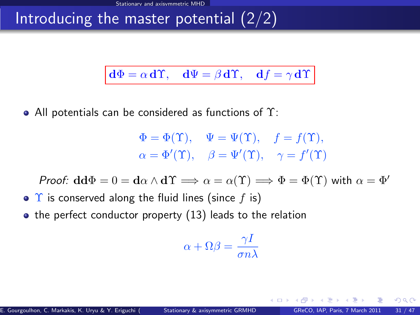$$
d\Phi = \alpha d\Upsilon
$$
,  $d\Psi = \beta d\Upsilon$ ,  $df = \gamma d\Upsilon$ 

• All potentials can be considered as functions of  $\Upsilon$ :

$$
\Phi = \Phi(\Upsilon), \quad \Psi = \Psi(\Upsilon), \quad f = f(\Upsilon),
$$
  

$$
\alpha = \Phi'(\Upsilon), \quad \beta = \Psi'(\Upsilon), \quad \gamma = f'(\Upsilon)
$$

*Proof:*  $\mathbf{d}\mathbf{d}\Phi = 0 = \mathbf{d}\alpha \wedge \mathbf{d}\Upsilon \implies \alpha = \alpha(\Upsilon) \implies \Phi = \Phi(\Upsilon)$  with  $\alpha = \Phi'$ 

- $\bullet$   $\Upsilon$  is conserved along the fluid lines (since f is)
- $\bullet$  the perfect conductor property [\(13\)](#page-33-0) leads to the relation

$$
\alpha+\Omega\beta=\frac{\gamma I}{\sigma n\lambda}
$$

 $\Omega$ 

4 D.K.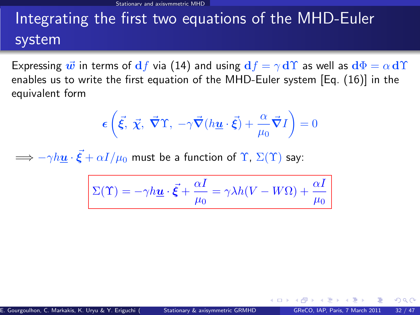# Integrating the first two equations of the MHD-Euler system

Expressing  $\vec{w}$  in terms of  $df$  via [\(14\)](#page-34-0) and using  $df = \gamma d\Upsilon$  as well as  $d\Phi = \alpha d\Upsilon$ enables us to write the first equation of the MHD-Euler system [Eq. [\(16\)](#page-38-0)] in the equivalent form

$$
\epsilon\left(\vec{\xi},\ \vec{\chi},\ \vec{\nabla}\Upsilon,\ -\gamma\vec{\nabla}(h\underline{\mathbf{u}}\cdot\vec{\xi})+\frac{\alpha}{\mu_0}\vec{\nabla}I\right)=0
$$

 $\Longrightarrow - \gamma h \underline{\boldsymbol{u}} \cdot \vec{\boldsymbol{\xi}} + \alpha I/\mu_0$  must be a function of  $\Upsilon$ ,  $\Sigma(\Upsilon)$  say:

$$
\Sigma(\Upsilon) = -\gamma h \underline{\mathbf{u}} \cdot \vec{\xi} + \frac{\alpha I}{\mu_0} = \gamma \lambda h (V - W\Omega) + \frac{\alpha I}{\mu_0}
$$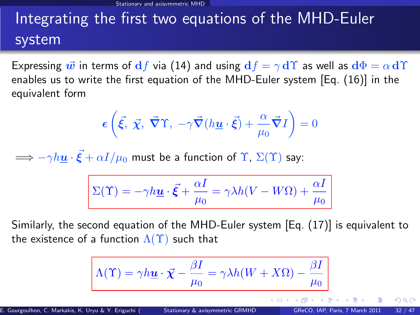# Integrating the first two equations of the MHD-Euler system

Expressing  $\vec{w}$  in terms of  $df$  via [\(14\)](#page-34-0) and using  $df = \gamma d\Upsilon$  as well as  $d\Phi = \alpha d\Upsilon$ enables us to write the first equation of the MHD-Euler system [Eq. [\(16\)](#page-38-0)] in the equivalent form

$$
\epsilon\left(\vec{\xi},\ \vec{\chi},\ \vec{\nabla}\Upsilon,\ -\gamma\vec{\nabla}(h\underline{\mathbf{u}}\cdot\vec{\xi})+\frac{\alpha}{\mu_0}\vec{\nabla}I\right)=0
$$

 $\Longrightarrow - \gamma h \underline{\boldsymbol{u}} \cdot \vec{\boldsymbol{\xi}} + \alpha I/\mu_0$  must be a function of  $\Upsilon$ ,  $\Sigma(\Upsilon)$  say:

$$
\Sigma(\Upsilon)=-\gamma h\underline{\boldsymbol{u}}\cdot\vec{\boldsymbol{\xi}}+\frac{\alpha I}{\mu_0}=\gamma\lambda h(V-W\Omega)+\frac{\alpha I}{\mu_0}
$$

Similarly, the second equation of the MHD-Euler system [Eq. [\(17\)](#page-38-1)] is equivalent to the existence of a function  $\Lambda(\Upsilon)$  such that

Λ(Υ) = γhu · χ~ − βI µ0 = γλh(W + XΩ) − βI µ0 E. Gourgoulhon, C. Markakis, K. Uryu & Y. Eriguchi () [Stationary & axisymmetric GRMHD](#page-0-0) GReCO, IAP, Paris, 7 March 2011 32 / 47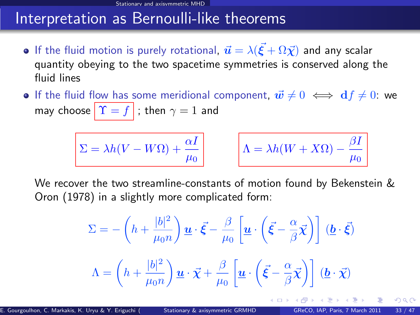### Interpretation as Bernoulli-like theorems

- If the fluid motion is purely rotational,  $\vec{\bm{u}} = \lambda (\vec{\bm{\xi}} + \Omega \vec{\bm{\chi}})$  and any scalar quantity obeying to the two spacetime symmetries is conserved along the fluid lines
- **If the fluid flow has some meridional component,**  $\vec{w} \neq 0 \iff \mathbf{d}f \neq 0$ **: we** may choose  $\|\Upsilon = f\|$ ; then  $\gamma = 1$  and

$$
\Sigma = \lambda h (V - W \Omega) + \frac{\alpha I}{\mu_0}
$$

$$
\Lambda = \lambda h(W + X\Omega) - \frac{\beta I}{\mu_0}
$$

We recover the two streamline-constants of motion found by Bekenstein & Oron (1978) in a slightly more complicated form:

$$
\Sigma = -\left(h + \frac{|b|^2}{\mu_0 n}\right) \underline{\boldsymbol{u}} \cdot \vec{\boldsymbol{\xi}} - \frac{\beta}{\mu_0} \left[\underline{\boldsymbol{u}} \cdot \left(\vec{\boldsymbol{\xi}} - \frac{\alpha}{\beta} \vec{\boldsymbol{\chi}}\right)\right] (\underline{\boldsymbol{b}} \cdot \vec{\boldsymbol{\xi}})
$$

$$
\Lambda = \left(h + \frac{|b|^2}{\mu_0 n}\right) \underline{\boldsymbol{u}} \cdot \vec{\boldsymbol{\chi}} + \frac{\beta}{\mu_0} \left[\underline{\boldsymbol{u}} \cdot \left(\vec{\boldsymbol{\xi}} - \frac{\alpha}{\beta} \vec{\boldsymbol{\chi}}\right)\right] (\underline{\boldsymbol{b}} \cdot \vec{\boldsymbol{\chi}})
$$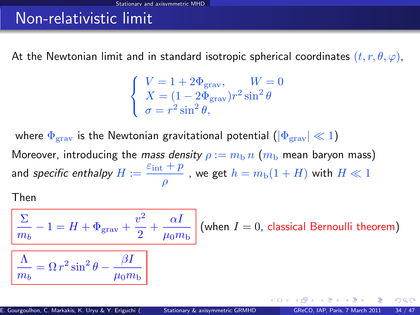## Non-relativistic limit

At the Newtonian limit and in standard isotropic spherical coordinates  $(t, r, \theta, \varphi)$ ,

$$
\begin{cases}\nV = 1 + 2\Phi_{\text{grav}}, & W = 0 \\
X = (1 - 2\Phi_{\text{grav}})r^2 \sin^2 \theta \\
\sigma = r^2 \sin^2 \theta,\n\end{cases}
$$

where  $\Phi_{\text{grav}}$  is the Newtonian gravitational potential  $(|\Phi_{\text{grav}}| \ll 1)$ Moreover, introducing the mass density  $\rho := m_b n$  ( $m_b$  mean baryon mass) and specific enthalpy  $H := \frac{\varepsilon_{\text{int}} + p}{\varepsilon_{\text{int}} + p}$  $\frac{p^+ + p^-}{\rho}$  , we get  $h = m_{\rm b}(1 + H)$  with  $H \ll 1$ 

Then

$$
\frac{\sum_{m_b} -1 = H + \Phi_{\text{grav}} + \frac{v^2}{2} + \frac{\alpha I}{\mu_0 m_b} \text{ (when } I = 0, \text{ classical Bernoulli theorem)}
$$
\n
$$
\boxed{\frac{\Lambda}{m_b} = \Omega r^2 \sin^2 \theta - \frac{\beta I}{\mu_0 m_b}}
$$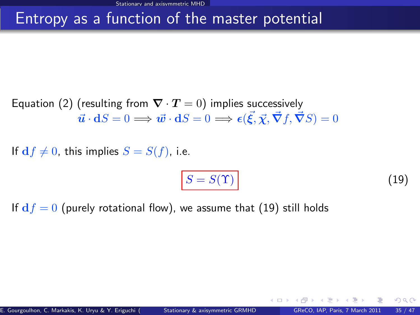## Entropy as a function of the master potential

Equation [\(2\)](#page-15-3) (resulting from  $\nabla \cdot \mathbf{T} = 0$ ) implies successively  $\vec{\boldsymbol{u}}\cdot \mathbf{d}S=0 \Longrightarrow \vec{\boldsymbol{w}}\cdot \mathbf{d}S=0 \Longrightarrow \epsilon(\vec{\boldsymbol{\xi}},\vec{\boldsymbol{\chi}},\vec{\boldsymbol{\nabla}}f,\vec{\boldsymbol{\nabla}}S)=0$ 

If  $df \neq 0$ , this implies  $S = S(f)$ , i.e.

<span id="page-48-0"></span>
$$
S = S(\Upsilon) \tag{19}
$$

If  $df = 0$  (purely rotational flow), we assume that [\(19\)](#page-48-0) still holds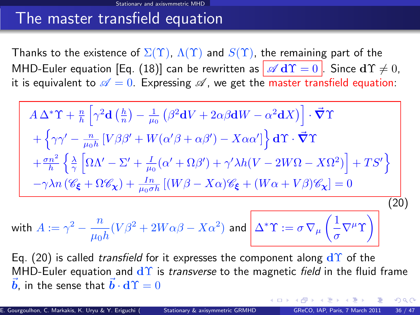### The master transfield equation

Thanks to the existence of  $\Sigma(\Upsilon)$ ,  $\Lambda(\Upsilon)$  and  $S(\Upsilon)$ , the remaining part of the MHD-Euler equation [Eq. [\(18\)](#page-38-2)] can be rewritten as  $\sqrt{d\Upsilon} = 0$  . Since  $d\Upsilon \neq 0$ , it is equivalent to  $\mathscr{A} = 0$ . Expressing  $\mathscr{A}$ , we get the master transfield equation:

<span id="page-49-0"></span>
$$
A \Delta^* \Upsilon + \frac{n}{h} \left[ \gamma^2 \mathbf{d} \left( \frac{h}{n} \right) - \frac{1}{\mu_0} \left( \beta^2 \mathbf{d} V + 2 \alpha \beta \mathbf{d} W - \alpha^2 \mathbf{d} X \right) \right] \cdot \vec{\nabla} \Upsilon
$$
  
+ 
$$
\left\{ \gamma \gamma' - \frac{n}{\mu_0 h} \left[ V \beta \beta' + W (\alpha' \beta + \alpha \beta') - X \alpha \alpha' \right] \right\} \mathbf{d} \Upsilon \cdot \vec{\nabla} \Upsilon
$$
  
+ 
$$
\frac{\sigma n^2}{h} \left\{ \frac{\lambda}{\gamma} \left[ \Omega \Lambda' - \Sigma' + \frac{I}{\mu_0} (\alpha' + \Omega \beta') + \gamma' \lambda h (V - 2W \Omega - X \Omega^2) \right] + TS' \right\}
$$
  
- 
$$
\gamma \lambda n \left( \mathscr{C}_{\xi} + \Omega \mathscr{C}_{\chi} \right) + \frac{In}{\mu_0 \sigma h} \left[ (W \beta - X \alpha) \mathscr{C}_{\xi} + (W \alpha + V \beta) \mathscr{C}_{\chi} \right] = 0
$$
  
100

with 
$$
A := \gamma^2 - \frac{n}{\mu_0 h} (V \beta^2 + 2W\alpha \beta - X\alpha^2)
$$
 and 
$$
\left[ \Delta^* \Upsilon := \sigma \nabla_{\mu} \left( \frac{1}{\sigma} \nabla^{\mu} \Upsilon \right) \right]
$$

<span id="page-49-1"></span>Eq. [\(20\)](#page-49-0) is called *transfield* for it expresses the component along  $d\Upsilon$  of the MHD-Euler equation and  $d\Upsilon$  is *transverse* to the magnetic *field* in the fluid frame  $\vec{b}$ , in the sense that  $\vec{b} \cdot d\Upsilon = 0$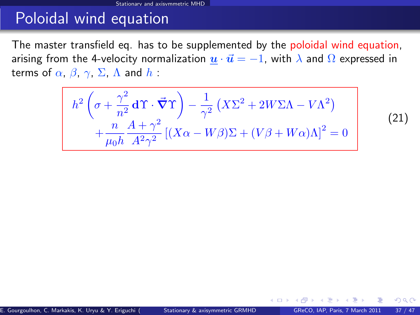### Poloidal wind equation

The master transfield eq. has to be supplemented by the poloidal wind equation, arising from the 4-velocity normalization  $\underline{u} \cdot \overrightarrow{u} = -1$ , with  $\lambda$  and  $\Omega$  expressed in terms of  $\alpha$ ,  $\beta$ ,  $\gamma$ ,  $\Sigma$ ,  $\Lambda$  and  $h$  :

<span id="page-50-1"></span>
$$
h^{2}\left(\sigma + \frac{\gamma^{2}}{n^{2}}\mathbf{d}\Upsilon\cdot\vec{\nabla}\Upsilon\right) - \frac{1}{\gamma^{2}}\left(X\Sigma^{2} + 2W\Sigma\Lambda - V\Lambda^{2}\right) + \frac{n}{\mu_{0}h} \frac{A + \gamma^{2}}{A^{2}\gamma^{2}}\left[\left(X\alpha - W\beta\right)\Sigma + \left(V\beta + W\alpha\right)\Lambda\right]^{2} = 0
$$

(21)

<span id="page-50-0"></span> $\Omega$ 

**← ロ ▶ → イ 同**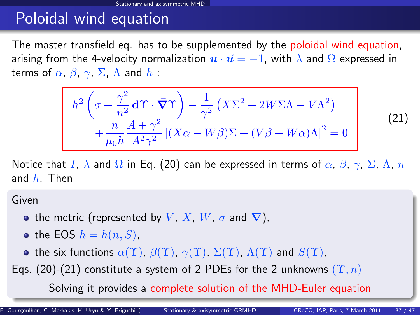## Poloidal wind equation

The master transfield eq. has to be supplemented by the poloidal wind equation, arising from the 4-velocity normalization  $u \cdot \vec{u} = -1$ , with  $\lambda$  and  $\Omega$  expressed in terms of  $\alpha$ ,  $\beta$ ,  $\gamma$ ,  $\Sigma$ ,  $\Lambda$  and  $h$ :

$$
h^{2}\left(\sigma + \frac{\gamma^{2}}{n^{2}}\mathbf{d}\Upsilon\cdot\vec{\nabla}\Upsilon\right) - \frac{1}{\gamma^{2}}\left(X\Sigma^{2} + 2W\Sigma\Lambda - V\Lambda^{2}\right) + \frac{n}{\mu_{0}h} \frac{A + \gamma^{2}}{A^{2}\gamma^{2}}\left[\left(X\alpha - W\beta\right)\Sigma + \left(V\beta + W\alpha\right)\Lambda\right]^{2} = 0
$$
\n(21)

Notice that I,  $\lambda$  and  $\Omega$  in Eq. [\(20\)](#page-49-0) can be expressed in terms of  $\alpha$ ,  $\beta$ ,  $\gamma$ ,  $\Sigma$ ,  $\Lambda$ ,  $n$ and  $h$ . Then

Given

- the metric (represented by V, X, W,  $\sigma$  and  $\nabla$ ),
- the EOS  $h = h(n, S)$ ,
- the six functions  $\alpha(\Upsilon)$ ,  $\beta(\Upsilon)$ ,  $\gamma(\Upsilon)$ ,  $\Sigma(\Upsilon)$ ,  $\Lambda(\Upsilon)$  and  $S(\Upsilon)$ ,
- Eqs. [\(20\)](#page-49-0)-[\(21\)](#page-50-1) constitute a system of 2 PDEs for the 2 unknowns  $(\Upsilon, n)$

<span id="page-51-0"></span>Solving it provides a complete solution of the [M](#page-50-0)[H](#page-52-0)[D](#page-49-1)[-](#page-50-0)[E](#page-51-0)[ul](#page-52-0)[er](#page-29-0)[e](#page-51-0)[q](#page-52-0)[ua](#page-29-0)[t](#page-30-0)[i](#page-51-0)[o](#page-52-0)[n](#page-0-0)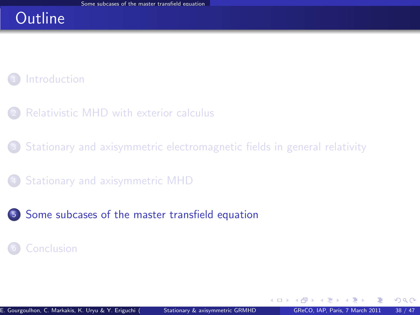### **Outline**

### **[Introduction](#page-2-0)**

- [Relativistic MHD with exterior calculus](#page-7-0)
- <sup>3</sup> [Stationary and axisymmetric electromagnetic fields in general relativity](#page-16-0)
- <sup>4</sup> [Stationary and axisymmetric MHD](#page-30-0)
- <sup>5</sup> [Some subcases of the master transfield equation](#page-52-0)

#### **[Conclusion](#page-59-0)**

<span id="page-52-0"></span> $\Omega$ 

4 0 8 1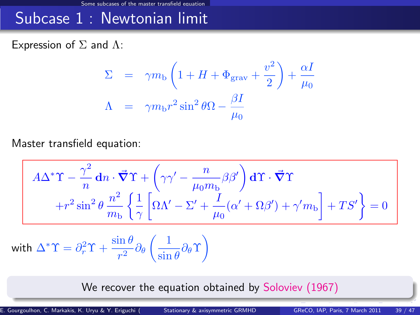### Subcase 1 : Newtonian limit

Expression of  $\Sigma$  and  $\Lambda$ :

$$
\Sigma = \gamma m_{\text{b}} \left( 1 + H + \Phi_{\text{grav}} + \frac{v^2}{2} \right) + \frac{\alpha I}{\mu_0}
$$

$$
\Lambda = \gamma m_{\text{b}} r^2 \sin^2 \theta \Omega - \frac{\beta I}{\mu_0}
$$

Master transfield equation:

$$
A\Delta^* \Upsilon - \frac{\gamma^2}{n} dn \cdot \vec{\nabla} \Upsilon + \left(\gamma \gamma' - \frac{n}{\mu_0 m_b} \beta \beta'\right) d\Upsilon \cdot \vec{\nabla} \Upsilon
$$

$$
+ r^2 \sin^2 \theta \frac{n^2}{m_b} \left\{ \frac{1}{\gamma} \left[ \Omega \Lambda' - \Sigma' + \frac{I}{\mu_0} (\alpha' + \Omega \beta') + \gamma' m_b \right] + TS' \right\} = 0
$$

with 
$$
\Delta^* \Upsilon = \partial_r^2 \Upsilon + \frac{\sin \theta}{r^2} \partial_\theta \left( \frac{1}{\sin \theta} \partial_\theta \Upsilon \right)
$$

We recover the equation obtained by Soloviev (1967)

E. Gourgoulhon, C. Markakis, K. Uryu & Y. Eriguchi ([Stationary & axisymmetric GRMHD](#page-0-0) GReCO, IAP, Paris, 7 March 2011 39 / 47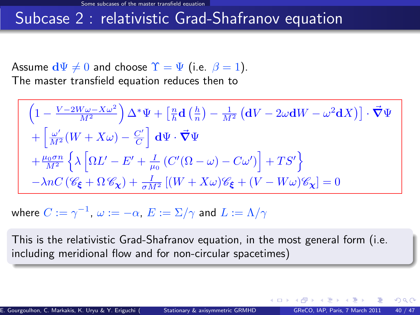### Subcase 2 : relativistic Grad-Shafranov equation

Assume  $d\Psi \neq 0$  and choose  $\Upsilon = \Psi$  (i.e.  $\beta = 1$ ). The master transfield equation reduces then to

$$
\begin{split} &\left(1-\frac{V-2W\omega-X\omega^{2}}{M^{2}}\right)\Delta^{*}\Psi+\left[\tfrac{n}{h}\mathbf{d}\left(\tfrac{h}{n}\right)-\tfrac{1}{M^{2}}\left(\mathbf{d}V-2\omega\mathbf{d}W-\omega^{2}\mathbf{d}X\right)\right]\cdot\vec{\nabla}\Psi\\ &+\left[\tfrac{\omega'}{M^{2}}\big(W+X\omega\big)-\tfrac{C'}{C}\right]\,\mathbf{d}\Psi\cdot\vec{\nabla}\Psi\\ &+\tfrac{\mu_{0}\sigma n}{M^{2}}\left\{\lambda\left[\Omega L'-E'+\tfrac{I}{\mu_{0}}\left(C'(\Omega-\omega)-C\omega'\right)\right]+TS'\right\}\\ &-\lambda nC\left(\mathscr{C}_{\pmb{\xi}}+\Omega\,\mathscr{C}_{\pmb{\chi}}\right)+\tfrac{I}{\sigma M^{2}}\left[(W+X\omega)\mathscr{C}_{\pmb{\xi}}+(V-W\omega)\mathscr{C}_{\pmb{\chi}}\right]=0 \end{split}
$$

where  $C:=\gamma^{-1},\ \omega:=-\alpha,\ E:=\Sigma/\gamma$  and  $L:=\Lambda/\gamma$ 

This is the relativistic Grad-Shafranov equation, in the most general form (i.e. including meridional flow and for non-circular spacetimes)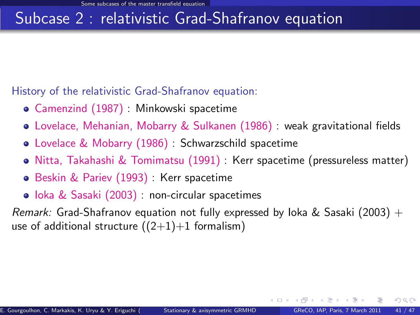## Subcase 2 : relativistic Grad-Shafranov equation

History of the relativistic Grad-Shafranov equation:

- Camenzind (1987) : Minkowski spacetime
- Lovelace, Mehanian, Mobarry & Sulkanen (1986) : weak gravitational fields
- Lovelace & Mobarry (1986) : Schwarzschild spacetime
- Nitta, Takahashi & Tomimatsu (1991) : Kerr spacetime (pressureless matter)
- **Beskin & Pariev (1993): Kerr spacetime**
- Ioka & Sasaki (2003) : non-circular spacetimes

Remark: Grad-Shafranov equation not fully expressed by loka & Sasaki (2003) + use of additional structure  $((2+1)+1$  formalism)

 $\Omega$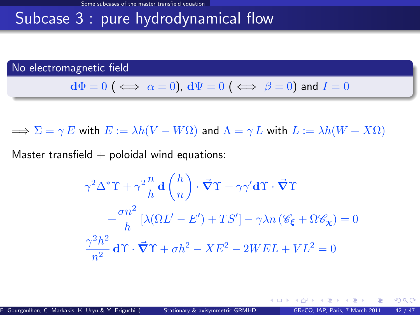# Subcase 3 : pure hydrodynamical flow

No electromagnetic field

$$
\mathbf{d}\Phi = 0 \; (\iff \alpha = 0), \, \mathbf{d}\Psi = 0 \; (\iff \beta = 0) \text{ and } I = 0
$$

 $\Rightarrow \Sigma = \gamma E$  with  $E := \lambda h(V - W\Omega)$  and  $\Lambda = \gamma L$  with  $L := \lambda h(W + X\Omega)$ 

Master transfield  $+$  poloidal wind equations:

$$
\gamma^2 \Delta^* \Upsilon + \gamma^2 \frac{n}{h} \mathbf{d} \left( \frac{h}{n} \right) \cdot \vec{\nabla} \Upsilon + \gamma \gamma' \mathbf{d} \Upsilon \cdot \vec{\nabla} \Upsilon
$$

$$
+ \frac{\sigma n^2}{h} \left[ \lambda (\Omega L' - E') + TS' \right] - \gamma \lambda n \left( \mathcal{C}_{\xi} + \Omega \mathcal{C}_{\chi} \right) = 0
$$

$$
\frac{\gamma^2 h^2}{n^2} \mathbf{d} \Upsilon \cdot \vec{\nabla} \Upsilon + \sigma h^2 - XE^2 - 2WEL + VL^2 = 0
$$

<span id="page-56-0"></span> $\Omega$ 

4 0 8 4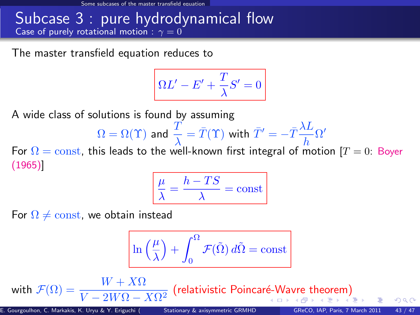Some subcases of the master transfield equation

#### Subcase 3 : pure hydrodynamical flow Case of purely rotational motion :  $\gamma = 0$

The master transfield equation reduces to

$$
\Omega L'-E'+\frac{T}{\lambda}S'=0
$$

A wide class of solutions is found by assuming

$$
\Omega = \Omega(\Upsilon) \text{ and } \frac{T}{\lambda} = \bar{T}(\Upsilon) \text{ with } \bar{T}' = -\bar{T}\frac{\lambda L}{h}\Omega'
$$

For  $\Omega = \text{const}$ , this leads to the well-known first integral of motion [T = 0: Boyer (1965)]

<span id="page-57-0"></span>
$$
\frac{\mu}{\lambda} = \frac{h - TS}{\lambda} = \text{const}
$$

For  $\Omega \neq \text{const}$ , we obtain instead

$$
\ln\left(\frac{\mu}{\lambda}\right) + \int_0^\Omega \mathcal{F}(\tilde{\Omega})\,d\tilde{\Omega} = \text{const}
$$

wi[th](#page-58-0)  $\mathcal{F}(\Omega)=\dfrac{W+X\Omega}{V-2W\Omega-X\Omega^2}$  $\mathcal{F}(\Omega)=\dfrac{W+X\Omega}{V-2W\Omega-X\Omega^2}$  $\mathcal{F}(\Omega)=\dfrac{W+X\Omega}{V-2W\Omega-X\Omega^2}$  $\mathcal{F}(\Omega)=\dfrac{W+X\Omega}{V-2W\Omega-X\Omega^2}$  $\mathcal{F}(\Omega)=\dfrac{W+X\Omega}{V-2W\Omega-X\Omega^2}$  $\mathcal{F}(\Omega)=\dfrac{W+X\Omega}{V-2W\Omega-X\Omega^2}$  $\mathcal{F}(\Omega)=\dfrac{W+X\Omega}{V-2W\Omega-X\Omega^2}$  $\mathcal{F}(\Omega)=\dfrac{W+X\Omega}{V-2W\Omega-X\Omega^2}$  $\mathcal{F}(\Omega)=\dfrac{W+X\Omega}{V-2W\Omega-X\Omega^2}$  (relativistic Poincaré-Wa[vr](#page-56-0)[e](#page-57-0) the[o](#page-52-0)rem[\)](#page-52-0)  $\Omega$ 

E. Gourgoulhon, C. Markakis, K. Uryu & Y. Eriguchi () [Stationary & axisymmetric GRMHD](#page-0-0) GReCO, IAP, Paris, 7 March 2011 43 / 47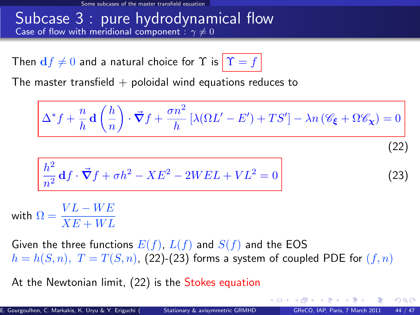#### Subcase 3 : pure hydrodynamical flow Case of flow with meridional component :  $\gamma \neq 0$

Then  $df \neq 0$  and a natural choice for  $\Upsilon$  is  $|\Upsilon = f|$ 

The master transfield  $+$  poloidal wind equations reduces to

<span id="page-58-1"></span>
$$
\Delta^* f + \frac{n}{h} \mathbf{d} \left( \frac{h}{n} \right) \cdot \vec{\nabla} f + \frac{\sigma n^2}{h} \left[ \lambda (\Omega L' - E') + TS' \right] - \lambda n \left( \mathcal{C}_{\xi} + \Omega \mathcal{C}_{\chi} \right) = 0
$$
\n
$$
\frac{h^2}{n^2} \mathbf{d} f \cdot \vec{\nabla} f + \sigma h^2 - X E^2 - 2 W E L + V L^2 = 0
$$
\n(23)

with  $\Omega = \frac{VL - WE}{XE + WL}$ 

Given the three functions  $E(f)$ ,  $L(f)$  and  $S(f)$  and the EOS  $h = h(S, n)$ ,  $T = T(S, n)$ , [\(22\)](#page-58-1)-[\(23\)](#page-58-2) forms a system of coupled PDE for  $(f, n)$ 

At the Newtonian limit, [\(22\)](#page-58-1) is the Stokes equation

<span id="page-58-0"></span> $\Omega$ 

<span id="page-58-2"></span>イロト イ押 トイヨ トイヨ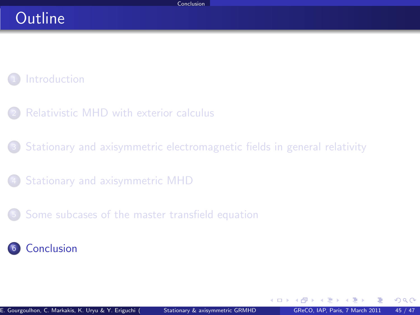### **Outline**

### **[Introduction](#page-2-0)**

- [Relativistic MHD with exterior calculus](#page-7-0)
- <sup>3</sup> [Stationary and axisymmetric electromagnetic fields in general relativity](#page-16-0)
- <sup>4</sup> [Stationary and axisymmetric MHD](#page-30-0)
- <sup>5</sup> [Some subcases of the master transfield equation](#page-52-0)



<span id="page-59-0"></span>4 日下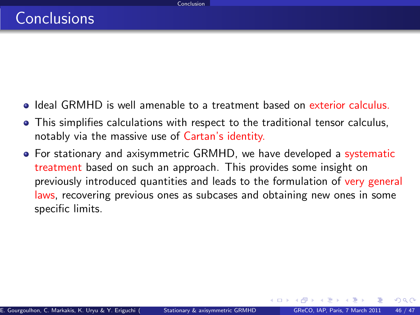- Ideal GRMHD is well amenable to a treatment based on exterior calculus.
- This simplifies calculations with respect to the traditional tensor calculus, notably via the massive use of Cartan's identity.
- For stationary and axisymmetric GRMHD, we have developed a systematic treatment based on such an approach. This provides some insight on previously introduced quantities and leads to the formulation of very general laws, recovering previous ones as subcases and obtaining new ones in some specific limits.